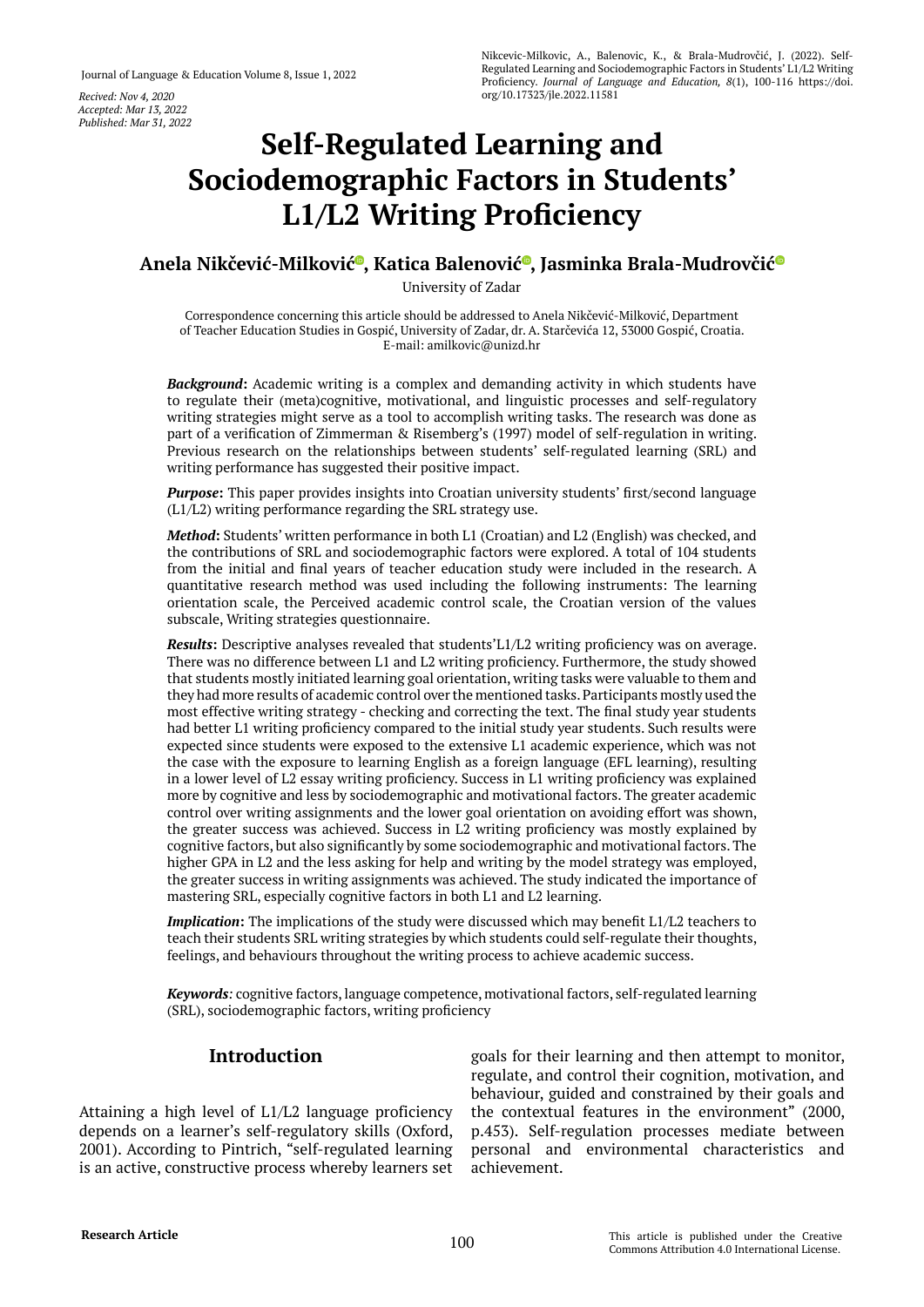*Accepted: Mar 13, 2022 Published: Mar 31, 2022*

# **Self-Regulated Learning and Sociodemographic Factors in Students' L1/L2 Writing Proficiency**

# **Anela Nikčević-Milković [,](https://orcid.org/0000-0001-6216-456X) Katica Balenovi[ć](https://orcid.org/0000-0002-9534-875X) , Jasminka Brala-Mudrovči[ć](https://orcid.org/0000-0001-9184-7589)**

University of Zadar

Correspondence concerning this article should be addressed to Anela Nikčević-Milković, Department of Teacher Education Studies in Gospić, University of Zadar, dr. A. Starčevića 12, 53000 Gospić, Croatia. E-mail: [amilkovic@unizd.hr](mailto:amilkovic@unizd.hr)

*Background***:** Academic writing is a complex and demanding activity in which students have to regulate their (meta)cognitive, motivational, and linguistic processes and self-regulatory writing strategies might serve as a tool to accomplish writing tasks. The research was done as part of a verification of Zimmerman & Risemberg's (1997) model of self-regulation in writing. Previous research on the relationships between students' self-regulated learning (SRL) and writing performance has suggested their positive impact.

**Purpose:** This paper provides insights into Croatian university students' first/second language (L1/L2) writing performance regarding the SRL strategy use.

*Method***:** Students' written performance in both L1 (Croatian) and L2 (English) was checked, and the contributions of SRL and sociodemographic factors were explored. A total of 104 students from the initial and final years of teacher education study were included in the research. A quantitative research method was used including the following instruments: The learning orientation scale, the Perceived academic control scale, the Croatian version of the values subscale, Writing strategies questionnaire.

*Results***:** Descriptive analyses revealed that students'L1/L2 writing proficiency was on average. There was no difference between L1 and L2 writing proficiency. Furthermore, the study showed that students mostly initiated learning goal orientation, writing tasks were valuable to them and they had more results of academic control over the mentioned tasks. Participants mostly used the most effective writing strategy - checking and correcting the text. The final study year students had better L1 writing proficiency compared to the initial study year students. Such results were expected since students were exposed to the extensive L1 academic experience, which was not the case with the exposure to learning English as a foreign language (EFL learning), resulting in a lower level of L2 essay writing proficiency. Success in L1 writing proficiency was explained more by cognitive and less by sociodemographic and motivational factors. The greater academic control over writing assignments and the lower goal orientation on avoiding effort was shown, the greater success was achieved. Success in L2 writing proficiency was mostly explained by cognitive factors, but also significantly by some sociodemographic and motivational factors. The higher GPA in L2 and the less asking for help and writing by the model strategy was employed, the greater success in writing assignments was achieved. The study indicated the importance of mastering SRL, especially cognitive factors in both L1 and L2 learning.

*Implication***:** The implications of the study were discussed which may benefit L1/L2 teachers to teach their students SRL writing strategies by which students could self-regulate their thoughts, feelings, and behaviours throughout the writing process to achieve academic success.

*Keywords:* cognitive factors, language competence, motivational factors, self-regulated learning (SRL), sociodemographic factors, writing proficiency

# **Introduction**

Attaining a high level of L1/L2 language proficiency depends on a learner's self-regulatory skills (Oxford, 2001). According to Pintrich, "self-regulated learning is an active, constructive process whereby learners set

goals for their learning and then attempt to monitor, regulate, and control their cognition, motivation, and behaviour, guided and constrained by their goals and the contextual features in the environment" (2000, p.453). Self-regulation processes mediate between personal and environmental characteristics and achievement.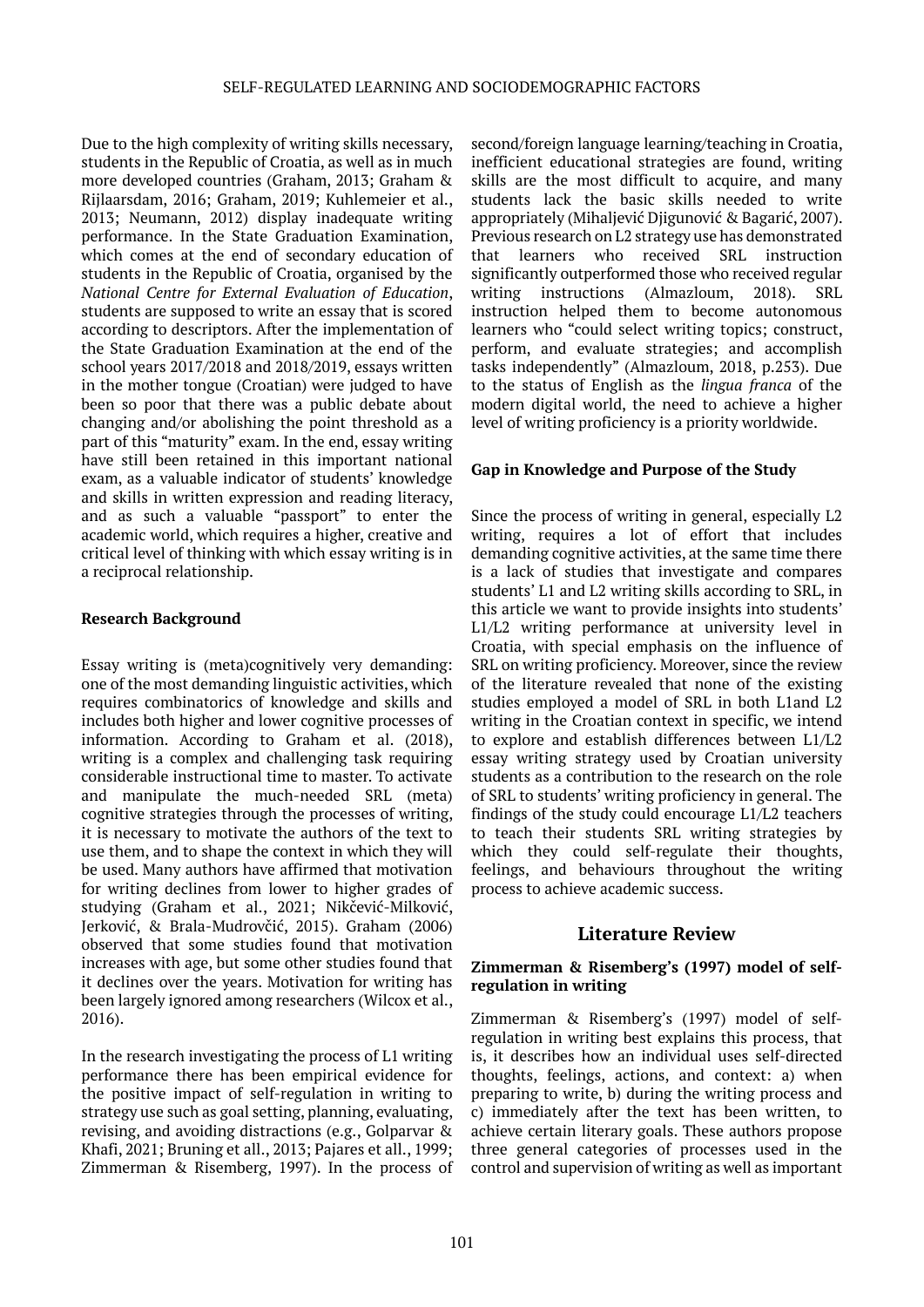Due to the high complexity of writing skills necessary, students in the Republic of Croatia, as well as in much more developed countries (Graham, 2013; Graham & Rijlaarsdam, 2016; Graham, 2019; Kuhlemeier et al., 2013; Neumann, 2012) display inadequate writing performance. In the State Graduation Examination, which comes at the end of secondary education of students in the Republic of Croatia, organised by the *National Centre for External Evaluation of Education*, students are supposed to write an essay that is scored according to descriptors. After the implementation of the State Graduation Examination at the end of the school years 2017/2018 and 2018/2019, essays written in the mother tongue (Croatian) were judged to have been so poor that there was a public debate about changing and/or abolishing the point threshold as a part of this "maturity" exam. In the end, essay writing have still been retained in this important national exam, as a valuable indicator of students' knowledge and skills in written expression and reading literacy, and as such a valuable "passport" to enter the academic world, which requires a higher, creative and critical level of thinking with which essay writing is in a reciprocal relationship.

# **Research Background**

Essay writing is (meta)cognitively very demanding: one of the most demanding linguistic activities, which requires combinatorics of knowledge and skills and includes both higher and lower cognitive processes of information. According to Graham et al. (2018), writing is a complex and challenging task requiring considerable instructional time to master. To activate and manipulate the much-needed SRL (meta) cognitive strategies through the processes of writing, it is necessary to motivate the authors of the text to use them, and to shape the context in which they will be used. Many authors have affirmed that motivation for writing declines from lower to higher grades of studying (Graham et al., 2021; Nikčević-Milković, Jerković, & Brala-Mudrovčić, 2015). Graham (2006) observed that some studies found that motivation increases with age, but some other studies found that it declines over the years. Motivation for writing has been largely ignored among researchers (Wilcox et al., 2016).

In the research investigating the process of L1 writing performance there has been empirical evidence for the positive impact of self-regulation in writing to strategy use such as goal setting, planning, evaluating, revising, and avoiding distractions (e.g., Golparvar & Khafi, 2021; Bruning et all., 2013; Pajares et all., 1999; Zimmerman & Risemberg, 1997). In the process of

second/foreign language learning/teaching in Croatia, inefficient educational strategies are found, writing skills are the most difficult to acquire, and many students lack the basic skills needed to write appropriately (Mihaljević Djigunović & Bagarić, 2007). Previous research on L2 strategy use has demonstrated that learners who received SRL instruction significantly outperformed those who received regular writing instructions (Almazloum, 2018). SRL instruction helped them to become autonomous learners who "could select writing topics; construct, perform, and evaluate strategies; and accomplish tasks independently" (Almazloum, 2018, p.253). Due to the status of English as the *lingua franca* of the modern digital world, the need to achieve a higher level of writing proficiency is a priority worldwide.

# **Gap in Knowledge and Purpose of the Study**

Since the process of writing in general, especially L2 writing, requires a lot of effort that includes demanding cognitive activities, at the same time there is a lack of studies that investigate and compares students' L1 and L2 writing skills according to SRL, in this article we want to provide insights into students' L1/L2 writing performance at university level in Croatia, with special emphasis on the influence of SRL on writing proficiency. Moreover, since the review of the literature revealed that none of the existing studies employed a model of SRL in both L1and L2 writing in the Croatian context in specific, we intend to explore and establish differences between L1/L2 essay writing strategy used by Croatian university students as a contribution to the research on the role of SRL to students' writing proficiency in general. The findings of the study could encourage L1/L2 teachers to teach their students SRL writing strategies by which they could self-regulate their thoughts, feelings, and behaviours throughout the writing process to achieve academic success.

# **Literature Review**

## **Zimmerman & Risemberg's (1997) model of selfregulation in writing**

Zimmerman & Risemberg's (1997) model of selfregulation in writing best explains this process, that is, it describes how an individual uses self-directed thoughts, feelings, actions, and context: a) when preparing to write, b) during the writing process and c) immediately after the text has been written, to achieve certain literary goals. These authors propose three general categories of processes used in the control and supervision of writing as well as important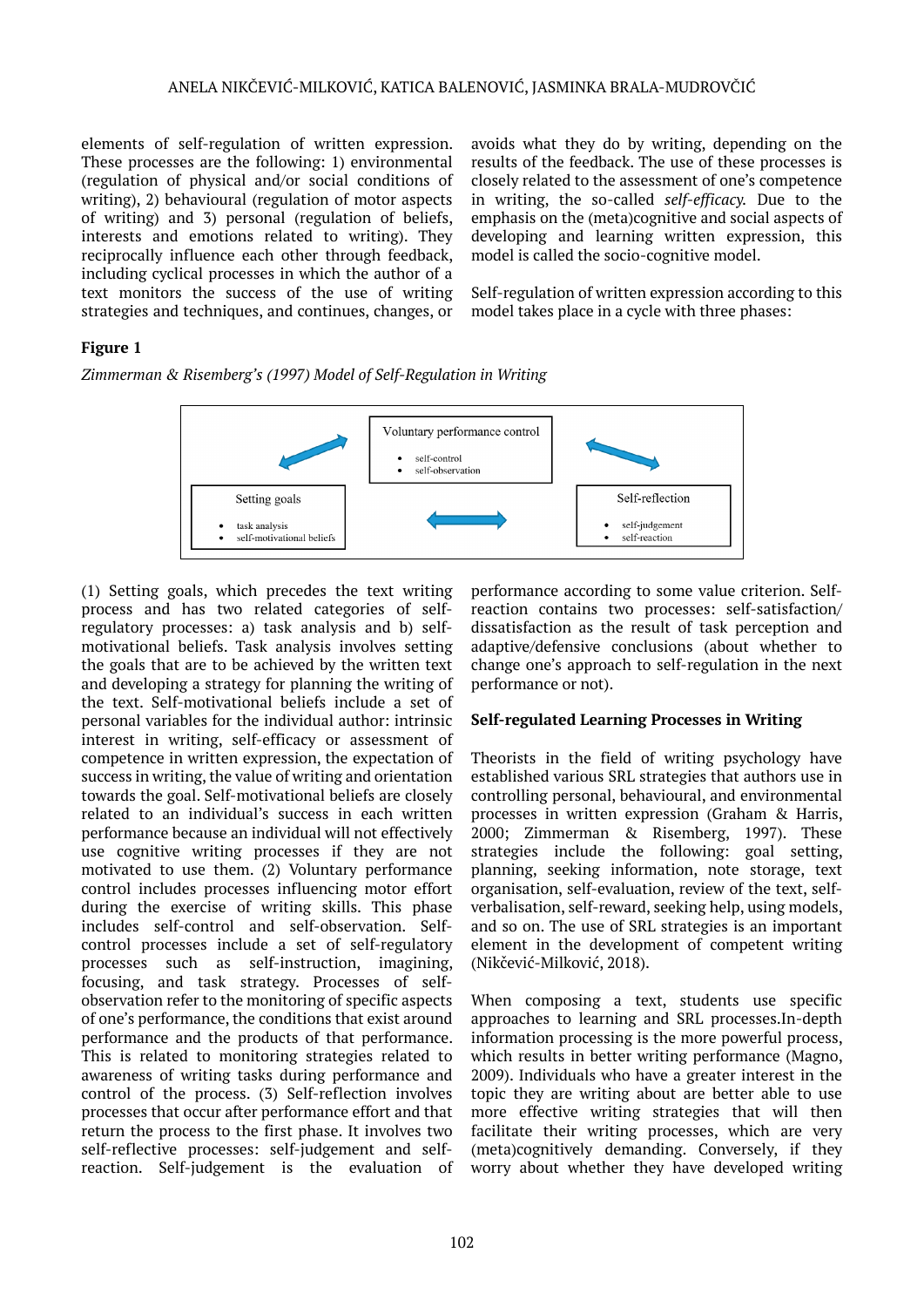elements of self-regulation of written expression. These processes are the following: 1) environmental (regulation of physical and/or social conditions of writing), 2) behavioural (regulation of motor aspects of writing) and 3) personal (regulation of beliefs, interests and emotions related to writing). They reciprocally influence each other through feedback, including cyclical processes in which the author of a text monitors the success of the use of writing strategies and techniques, and continues, changes, or

avoids what they do by writing, depending on the results of the feedback. The use of these processes is closely related to the assessment of one's competence in writing, the so-called *self-efficacy.* Due to the emphasis on the (meta)cognitive and social aspects of developing and learning written expression, this model is called the socio-cognitive model.

Self-regulation of written expression according to this model takes place in a cycle with three phases:

# **Figure 1**

*Zimmerman & Risemberg's (1997) Model of Self-Regulation in Writing*



(1) Setting goals, which precedes the text writing process and has two related categories of selfregulatory processes: a) task analysis and b) selfmotivational beliefs. Task analysis involves setting the goals that are to be achieved by the written text and developing a strategy for planning the writing of the text. Self-motivational beliefs include a set of personal variables for the individual author: intrinsic interest in writing, self-efficacy or assessment of competence in written expression, the expectation of success in writing, the value of writing and orientation towards the goal. Self-motivational beliefs are closely related to an individual's success in each written performance because an individual will not effectively use cognitive writing processes if they are not motivated to use them. (2) Voluntary performance control includes processes influencing motor effort during the exercise of writing skills. This phase includes self-control and self-observation. Selfcontrol processes include a set of self-regulatory processes such as self-instruction, imagining, focusing, and task strategy. Processes of selfobservation refer to the monitoring of specific aspects of one's performance, the conditions that exist around performance and the products of that performance. This is related to monitoring strategies related to awareness of writing tasks during performance and control of the process. (3) Self-reflection involves processes that occur after performance effort and that return the process to the first phase. It involves two self-reflective processes: self-judgement and selfreaction. Self-judgement is the evaluation of performance according to some value criterion. Selfreaction contains two processes: self-satisfaction/ dissatisfaction as the result of task perception and adaptive/defensive conclusions (about whether to change one's approach to self-regulation in the next performance or not).

# **Self-regulated Learning Processes in Writing**

Theorists in the field of writing psychology have established various SRL strategies that authors use in controlling personal, behavioural, and environmental processes in written expression (Graham & Harris, 2000; Zimmerman & Risemberg, 1997). These strategies include the following: goal setting, planning, seeking information, note storage, text organisation, self-evaluation, review of the text, selfverbalisation, self-reward, seeking help, using models, and so on. The use of SRL strategies is an important element in the development of competent writing (Nikčević-Milković, 2018).

When composing a text, students use specific approaches to learning and SRL processes.In-depth information processing is the more powerful process, which results in better writing performance (Magno, 2009). Individuals who have a greater interest in the topic they are writing about are better able to use more effective writing strategies that will then facilitate their writing processes, which are very (meta)cognitively demanding. Conversely, if they worry about whether they have developed writing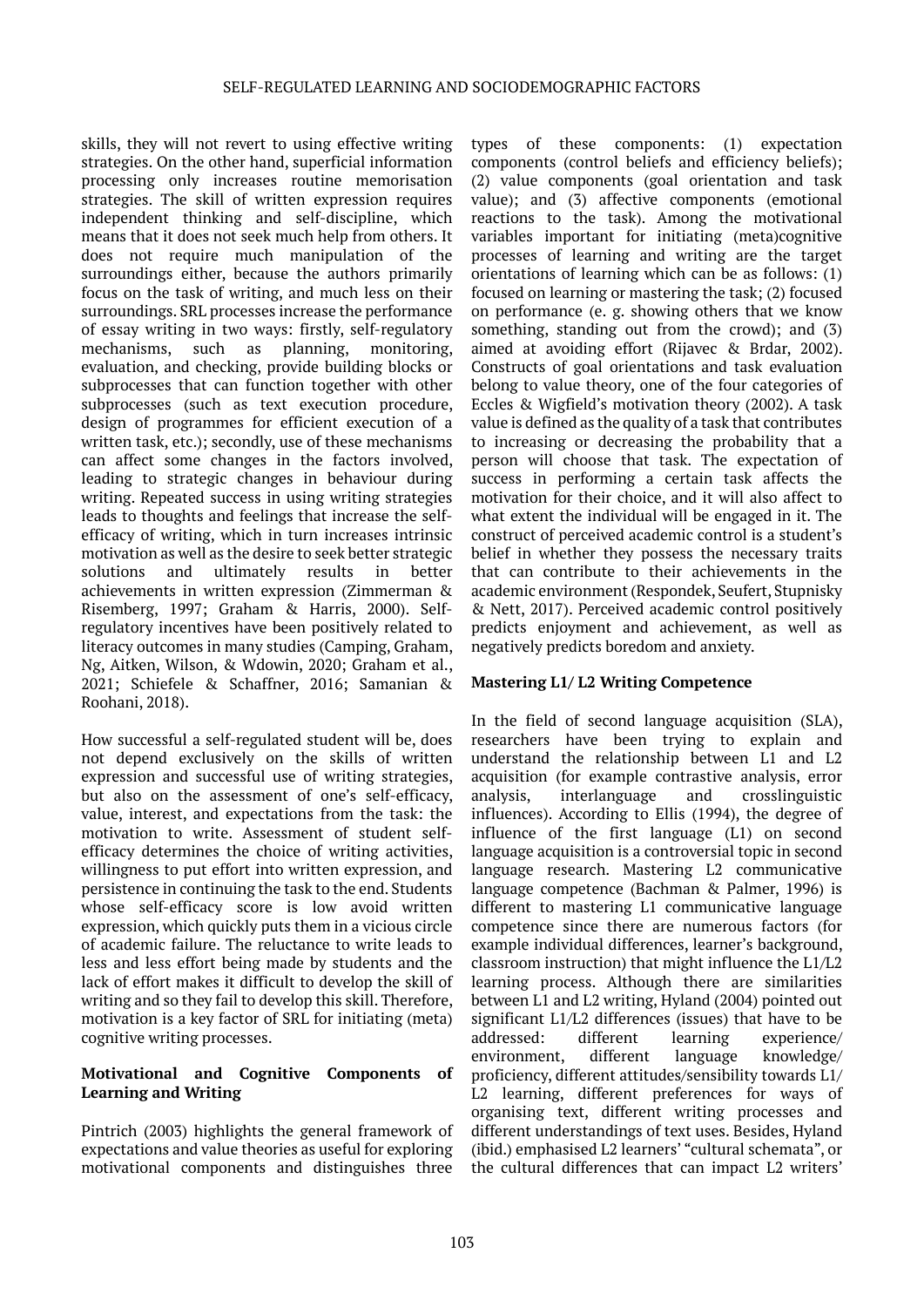skills, they will not revert to using effective writing strategies. On the other hand, superficial information processing only increases routine memorisation strategies. The skill of written expression requires independent thinking and self-discipline, which means that it does not seek much help from others. It does not require much manipulation of the surroundings either, because the authors primarily focus on the task of writing, and much less on their surroundings. SRL processes increase the performance of essay writing in two ways: firstly, self-regulatory mechanisms, such as planning, monitoring, evaluation, and checking, provide building blocks or subprocesses that can function together with other subprocesses (such as text execution procedure, design of programmes for efficient execution of a written task, etc.); secondly, use of these mechanisms can affect some changes in the factors involved, leading to strategic changes in behaviour during writing. Repeated success in using writing strategies leads to thoughts and feelings that increase the selfefficacy of writing, which in turn increases intrinsic motivation as well as the desire to seek better strategic solutions and ultimately results in better achievements in written expression (Zimmerman & Risemberg, 1997; Graham & Harris, 2000). Selfregulatory incentives have been positively related to literacy outcomes in many studies (Camping, Graham, Ng, Aitken, Wilson, & Wdowin, 2020; Graham et al., 2021; Schiefele & Schaffner, 2016; Samanian & Roohani, 2018).

How successful a self-regulated student will be, does not depend exclusively on the skills of written expression and successful use of writing strategies, but also on the assessment of one's self-efficacy, value, interest, and expectations from the task: the motivation to write. Assessment of student selfefficacy determines the choice of writing activities, willingness to put effort into written expression, and persistence in continuing the task to the end. Students whose self-efficacy score is low avoid written expression, which quickly puts them in a vicious circle of academic failure. The reluctance to write leads to less and less effort being made by students and the lack of effort makes it difficult to develop the skill of writing and so they fail to develop this skill. Therefore, motivation is a key factor of SRL for initiating (meta) cognitive writing processes.

# **Motivational and Cognitive Components of Learning and Writing**

Pintrich (2003) highlights the general framework of expectations and value theories as useful for exploring motivational components and distinguishes three

types of these components: (1) expectation components (control beliefs and efficiency beliefs); (2) value components (goal orientation and task value); and (3) affective components (emotional reactions to the task). Among the motivational variables important for initiating (meta)cognitive processes of learning and writing are the target orientations of learning which can be as follows: (1) focused on learning or mastering the task; (2) focused on performance (e. g. showing others that we know something, standing out from the crowd); and (3) aimed at avoiding effort (Rijavec & Brdar, 2002). Constructs of goal orientations and task evaluation belong to value theory, one of the four categories of Eccles & Wigfield's motivation theory (2002). A task value is defined as the quality of a task that contributes to increasing or decreasing the probability that a person will choose that task. The expectation of success in performing a certain task affects the motivation for their choice, and it will also affect to what extent the individual will be engaged in it. The construct of perceived academic control is a student's belief in whether they possess the necessary traits that can contribute to their achievements in the academic environment (Respondek, Seufert, Stupnisky & Nett, 2017). Perceived academic control positively predicts enjoyment and achievement, as well as negatively predicts boredom and anxiety.

# **Mastering L1/ L2 Writing Competence**

In the field of second language acquisition (SLA), researchers have been trying to explain and understand the relationship between L1 and L2 acquisition (for example contrastive analysis, error analysis, interlanguage and crosslinguistic influences). According to Ellis (1994), the degree of influence of the first language (L1) on second language acquisition is a controversial topic in second language research. Mastering L2 communicative language competence (Bachman & Palmer, 1996) is different to mastering L1 communicative language competence since there are numerous factors (for example individual differences, learner's background, classroom instruction) that might influence the L1/L2 learning process. Although there are similarities between L1 and L2 writing, Hyland (2004) pointed out significant L1/L2 differences (issues) that have to be addressed: different learning experience/ environment, different language knowledge/ proficiency, different attitudes/sensibility towards L1/ L2 learning, different preferences for ways of organising text, different writing processes and different understandings of text uses. Besides, Hyland (ibid.) emphasised L2 learners' "cultural schemata", or the cultural differences that can impact L2 writers'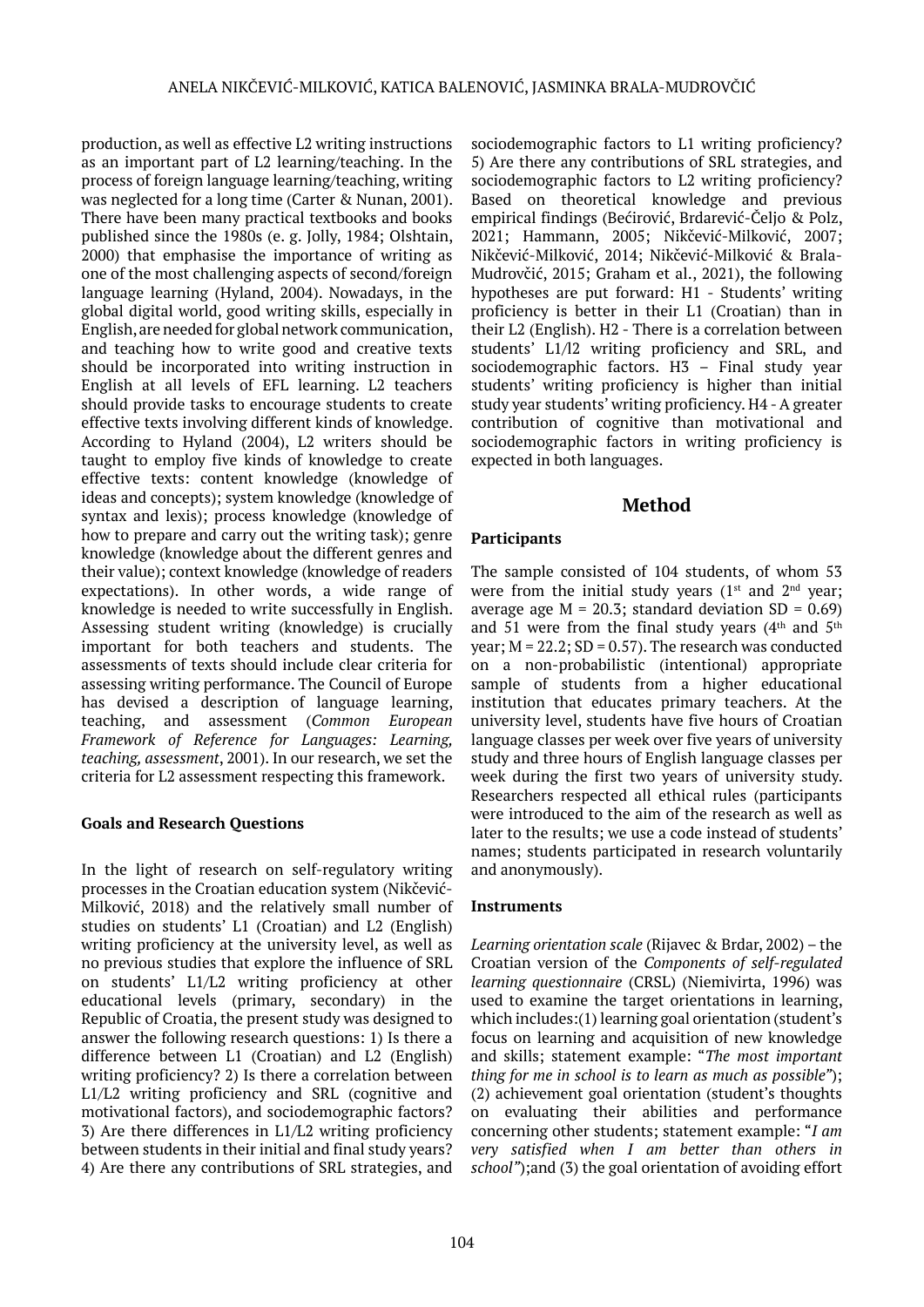production, as well as effective L2 writing instructions as an important part of L2 learning/teaching. In the process of foreign language learning/teaching, writing was neglected for a long time (Carter & Nunan, 2001). There have been many practical textbooks and books published since the 1980s (e. g. Jolly, 1984; Olshtain, 2000) that emphasise the importance of writing as one of the most challenging aspects of second/foreign language learning (Hyland, 2004). Nowadays, in the global digital world, good writing skills, especially in English, are needed for global network communication, and teaching how to write good and creative texts should be incorporated into writing instruction in English at all levels of EFL learning. L2 teachers should provide tasks to encourage students to create effective texts involving different kinds of knowledge. According to Hyland (2004), L2 writers should be taught to employ five kinds of knowledge to create effective texts: content knowledge (knowledge of ideas and concepts); system knowledge (knowledge of syntax and lexis); process knowledge (knowledge of how to prepare and carry out the writing task); genre knowledge (knowledge about the different genres and their value); context knowledge (knowledge of readers expectations). In other words, a wide range of knowledge is needed to write successfully in English. Assessing student writing (knowledge) is crucially important for both teachers and students. The assessments of texts should include clear criteria for assessing writing performance. The Council of Europe has devised a description of language learning, teaching, and assessment (*Common European Framework of Reference for Languages: Learning, teaching, assessment*, 2001). In our research, we set the criteria for L2 assessment respecting this framework.

# **Goals and Research Questions**

In the light of research on self-regulatory writing processes in the Croatian education system (Nikčević-Milković, 2018) and the relatively small number of studies on students' L1 (Croatian) and L2 (English) writing proficiency at the university level, as well as no previous studies that explore the influence of SRL on students' L1/L2 writing proficiency at other educational levels (primary, secondary) in the Republic of Croatia, the present study was designed to answer the following research questions: 1) Is there a difference between L1 (Croatian) and L2 (English) writing proficiency? 2) Is there a correlation between L1/L2 writing proficiency and SRL (cognitive and motivational factors), and sociodemographic factors? 3) Are there differences in L1/L2 writing proficiency between students in their initial and final study years? 4) Are there any contributions of SRL strategies, and

sociodemographic factors to L1 writing proficiency? 5) Are there any contributions of SRL strategies, and sociodemographic factors to L2 writing proficiency? Based on theoretical knowledge and previous empirical findings (Bećirović, Brdarević-Čeljo & Polz, 2021; Hammann, 2005; Nikčević-Milković, 2007; Nikčević-Milković, 2014; Nikčević-Milković & Brala-Mudrovčić, 2015; Graham et al., 2021), the following hypotheses are put forward: H1 - Students' writing proficiency is better in their L1 (Croatian) than in their L2 (English). H2 - There is a correlation between students' L1/l2 writing proficiency and SRL, and sociodemographic factors. H3 – Final study year students' writing proficiency is higher than initial study year students' writing proficiency. H4 - A greater contribution of cognitive than motivational and sociodemographic factors in writing proficiency is expected in both languages.

# **Method**

# **Participants**

The sample consisted of 104 students, of whom 53 were from the initial study years  $(1^{st}$  and  $2^{nd}$  year; average age  $M = 20.3$ ; standard deviation SD = 0.69) and 51 were from the final study years  $(4<sup>th</sup>$  and  $5<sup>th</sup>$ year;  $M = 22.2$ ;  $SD = 0.57$ . The research was conducted on a non-probabilistic (intentional) appropriate sample of students from a higher educational institution that educates primary teachers. At the university level, students have five hours of Croatian language classes per week over five years of university study and three hours of English language classes per week during the first two years of university study. Researchers respected all ethical rules (participants were introduced to the aim of the research as well as later to the results; we use a code instead of students' names; students participated in research voluntarily and anonymously).

# **Instruments**

*Learning orientation scale* (Rijavec & Brdar, 2002) – the Croatian version of the *Components of self-regulated learning questionnaire* (CRSL) (Niemivirta, 1996) was used to examine the target orientations in learning, which includes:(1) learning goal orientation (student's focus on learning and acquisition of new knowledge and skills; statement example: "*The most important thing for me in school is to learn as much as possible"*); (2) achievement goal orientation (student's thoughts on evaluating their abilities and performance concerning other students; statement example: "*I am very satisfied when I am better than others in school"*);and (3) the goal orientation of avoiding effort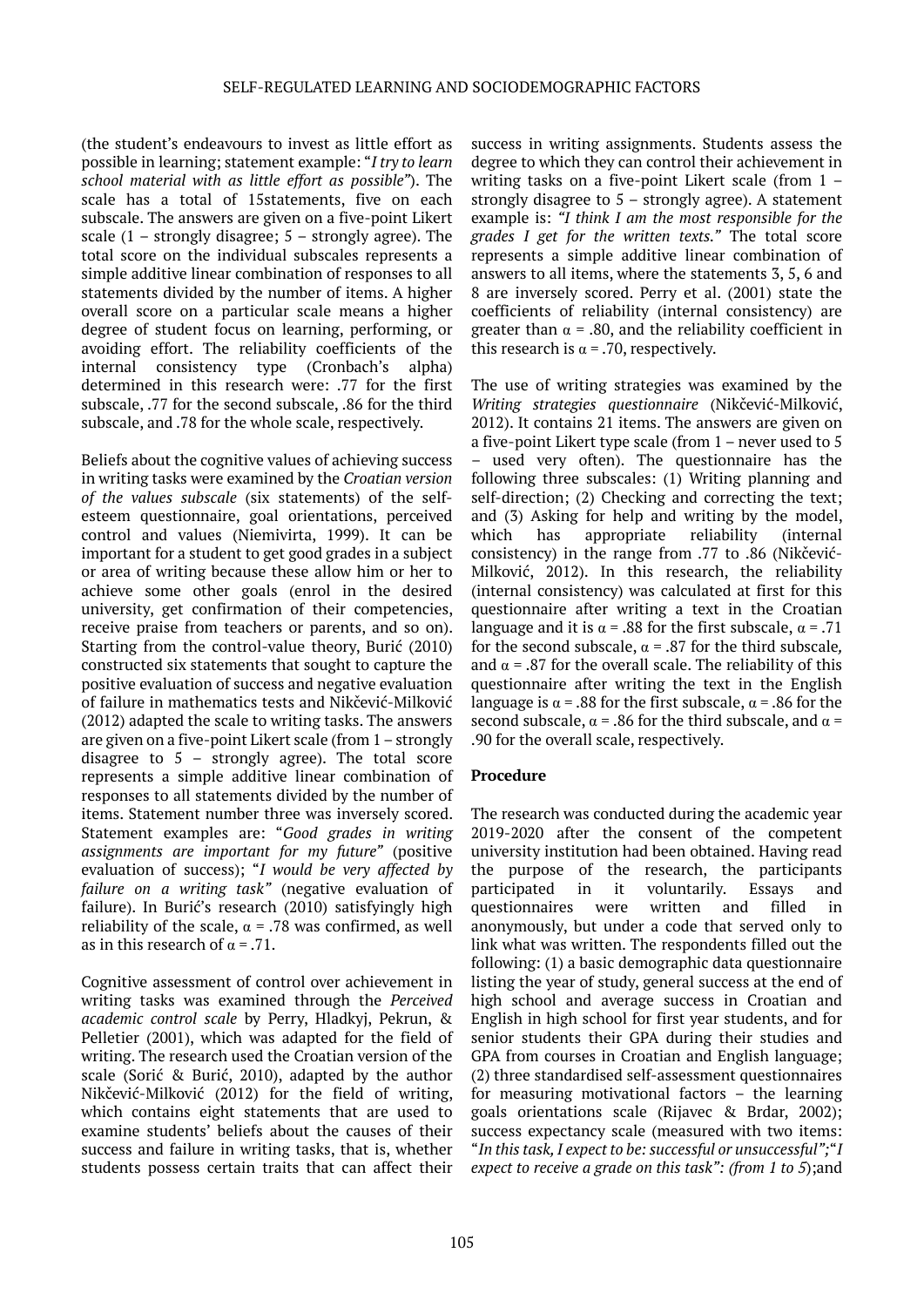(the student's endeavours to invest as little effort as possible in learning; statement example: "*I try to learn school material with as little effort as possible"*). The scale has a total of 15statements, five on each subscale. The answers are given on a five-point Likert scale  $(1 -$  strongly disagree;  $5 -$  strongly agree). The total score on the individual subscales represents a simple additive linear combination of responses to all statements divided by the number of items. A higher overall score on a particular scale means a higher degree of student focus on learning, performing, or avoiding effort. The reliability coefficients of the internal consistency type (Cronbach's alpha) determined in this research were: .77 for the first subscale, .77 for the second subscale, .86 for the third subscale, and .78 for the whole scale, respectively.

Beliefs about the cognitive values of achieving success in writing tasks were examined by the *Croatian version of the values subscale* (six statements) of the selfesteem questionnaire, goal orientations, perceived control and values (Niemivirta, 1999). It can be important for a student to get good grades in a subject or area of writing because these allow him or her to achieve some other goals (enrol in the desired university, get confirmation of their competencies, receive praise from teachers or parents, and so on). Starting from the control-value theory, Burić (2010) constructed six statements that sought to capture the positive evaluation of success and negative evaluation of failure in mathematics tests and Nikčević-Milković (2012) adapted the scale to writing tasks. The answers are given on a five-point Likert scale (from 1 – strongly disagree to  $5$  – strongly agree). The total score represents a simple additive linear combination of responses to all statements divided by the number of items. Statement number three was inversely scored. Statement examples are: "*Good grades in writing assignments are important for my future"* (positive evaluation of success); "*I would be very affected by failure on a writing task"* (negative evaluation of failure). In Burić's research (2010) satisfyingly high reliability of the scale,  $\alpha$  = .78 was confirmed, as well as in this research of  $\alpha = .71$ .

Cognitive assessment of control over achievement in writing tasks was examined through the *Perceived academic control scale* by Perry, Hladkyj, Pekrun, & Pelletier (2001), which was adapted for the field of writing. The research used the Croatian version of the scale (Sorić & Burić, 2010), adapted by the author Nikčević-Milković (2012) for the field of writing, which contains eight statements that are used to examine students' beliefs about the causes of their success and failure in writing tasks, that is, whether students possess certain traits that can affect their

success in writing assignments. Students assess the degree to which they can control their achievement in writing tasks on a five-point Likert scale (from 1 – strongly disagree to 5 – strongly agree). A statement example is: *"I think I am the most responsible for the grades I get for the written texts."* The total score represents a simple additive linear combination of answers to all items, where the statements 3, 5, 6 and 8 are inversely scored. Perry et al. (2001) state the coefficients of reliability (internal consistency) are greater than  $\alpha$  = .80, and the reliability coefficient in this research is  $\alpha$  = .70, respectively.

The use of writing strategies was examined by the *Writing strategies questionnaire* (Nikčević-Milković, 2012). It contains 21 items. The answers are given on a five-point Likert type scale (from 1 – never used to 5 – used very often). The questionnaire has the following three subscales: (1) Writing planning and self-direction; (2) Checking and correcting the text; and (3) Asking for help and writing by the model, which has appropriate reliability (internal consistency) in the range from .77 to .86 (Nikčević-Milković, 2012). In this research, the reliability (internal consistency) was calculated at first for this questionnaire after writing a text in the Croatian language and it is  $\alpha$  = .88 for the first subscale,  $\alpha$  = .71 for the second subscale,  $\alpha$  = .87 for the third subscale, and  $\alpha$  = .87 for the overall scale. The reliability of this questionnaire after writing the text in the English language is  $\alpha$  = .88 for the first subscale,  $\alpha$  = .86 for the second subscale,  $\alpha$  = .86 for the third subscale, and  $\alpha$  = .90 for the overall scale, respectively.

# **Procedure**

The research was conducted during the academic year 2019-2020 after the consent of the competent university institution had been obtained. Having read the purpose of the research, the participants participated in it voluntarily. Essays and<br>questionnaires were written and filled in questionnaires were written and filled in anonymously, but under a code that served only to link what was written. The respondents filled out the following: (1) a basic demographic data questionnaire listing the year of study, general success at the end of high school and average success in Croatian and English in high school for first year students, and for senior students their GPA during their studies and GPA from courses in Croatian and English language; (2) three standardised self-assessment questionnaires for measuring motivational factors – the learning goals orientations scale (Rijavec & Brdar, 2002); success expectancy scale (measured with two items: "*In this task, I expect to be: successful or unsuccessful";*"*I expect to receive a grade on this task": (from 1 to 5*);and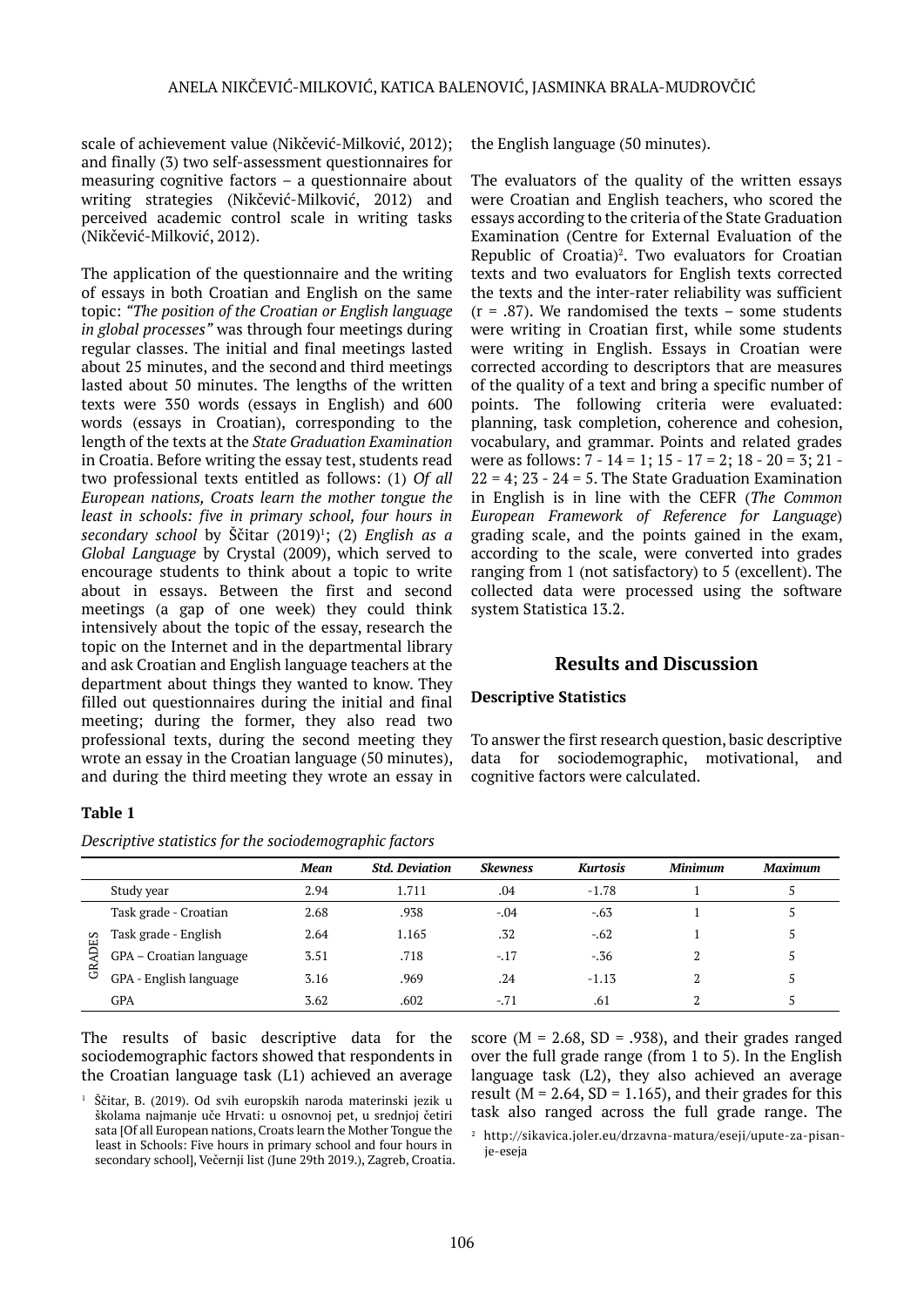scale of achievement value (Nikčević-Milković, 2012); and finally (3) two self-assessment questionnaires for measuring cognitive factors – a questionnaire about writing strategies (Nikčević-Milković, 2012) and perceived academic control scale in writing tasks (Nikčević-Milković, 2012).

The application of the questionnaire and the writing of essays in both Croatian and English on the same topic: *"The position of the Croatian or English language in global processes"* was through four meetings during regular classes. The initial and final meetings lasted about 25 minutes, and the second and third meetings lasted about 50 minutes. The lengths of the written texts were 350 words (essays in English) and 600 words (essays in Croatian), corresponding to the length of the texts at the *State Graduation Examination* in Croatia. Before writing the essay test, students read two professional texts entitled as follows: (1) *Of all European nations, Croats learn the mother tongue the least in schools: five in primary school, four hours in secondary school* by Ščitar (2019)<sup>1</sup> ; (2) *English as a Global Language* by Crystal (2009), which served to encourage students to think about a topic to write about in essays. Between the first and second meetings (a gap of one week) they could think intensively about the topic of the essay, research the topic on the Internet and in the departmental library and ask Croatian and English language teachers at the department about things they wanted to know. They filled out questionnaires during the initial and final meeting; during the former, they also read two professional texts, during the second meeting they wrote an essay in the Croatian language (50 minutes), and during the third meeting they wrote an essay in

# the English language (50 minutes).

The evaluators of the quality of the written essays were Croatian and English teachers, who scored the essays according to the criteria of the State Graduation Examination (Centre for External Evaluation of the Republic of Croatia)<sup>2</sup>. Two evaluators for Croatian texts and two evaluators for English texts corrected the texts and the inter-rater reliability was sufficient  $(r = .87)$ . We randomised the texts – some students were writing in Croatian first, while some students were writing in English. Essays in Croatian were corrected according to descriptors that are measures of the quality of a text and bring a specific number of points. The following criteria were evaluated: planning, task completion, coherence and cohesion, vocabulary, and grammar. Points and related grades were as follows: 7 - 14 = 1; 15 - 17 = 2; 18 - 20 = 3; 21 -  $22 = 4$ ;  $23 - 24 = 5$ . The State Graduation Examination in English is in line with the CEFR (*The Common European Framework of Reference for Language*) grading scale, and the points gained in the exam, according to the scale, were converted into grades ranging from 1 (not satisfactory) to 5 (excellent). The collected data were processed using the software system Statistica 13.2.

# **Results and Discussion**

# **Descriptive Statistics**

To answer the first research question, basic descriptive data for sociodemographic, motivational, and cognitive factors were calculated.

# **Table 1**

*Descriptive statistics for the sociodemographic factors*

|          |                         | Mean | <b>Std. Deviation</b> | <b>Skewness</b> | <b>Kurtosis</b> | <b>Minimum</b> | <b>Maximum</b> |
|----------|-------------------------|------|-----------------------|-----------------|-----------------|----------------|----------------|
|          | Study year              | 2.94 | 1.711                 | .04             | $-1.78$         |                |                |
| ЯЯ<br>ජි | Task grade - Croatian   | 2.68 | .938                  | $-.04$          | $-.63$          |                |                |
|          | Task grade - English    | 2.64 | 1.165                 | .32             | $-.62$          |                |                |
|          | GPA - Croatian language | 3.51 | .718                  | $-.17$          | $-36$           |                |                |
|          | GPA - English language  | 3.16 | .969                  | .24             | $-1.13$         |                |                |
|          | GPA                     | 3.62 | .602                  | $-.71$          | .61             |                |                |

The results of basic descriptive data for the sociodemographic factors showed that respondents in the Croatian language task (L1) achieved an average

Ščitar, B. (2019). Od svih europskih naroda materinski jezik u školama najmanje uče Hrvati: u osnovnoj pet, u srednjoj četiri sata [Of all European nations, Croats learn the Mother Tongue the least in Schools: Five hours in primary school and four hours in secondary school], Večernji list (June 29th 2019.), Zagreb, Croatia. score ( $M = 2.68$ ,  $SD = .938$ ), and their grades ranged over the full grade range (from 1 to 5). In the English language task (L2), they also achieved an average result ( $M = 2.64$ ,  $SD = 1.165$ ), and their grades for this task also ranged across the full grade range. The

<sup>2</sup> http://sikavica.joler.eu/drzavna-matura/eseji/upute-za-pisanje-eseja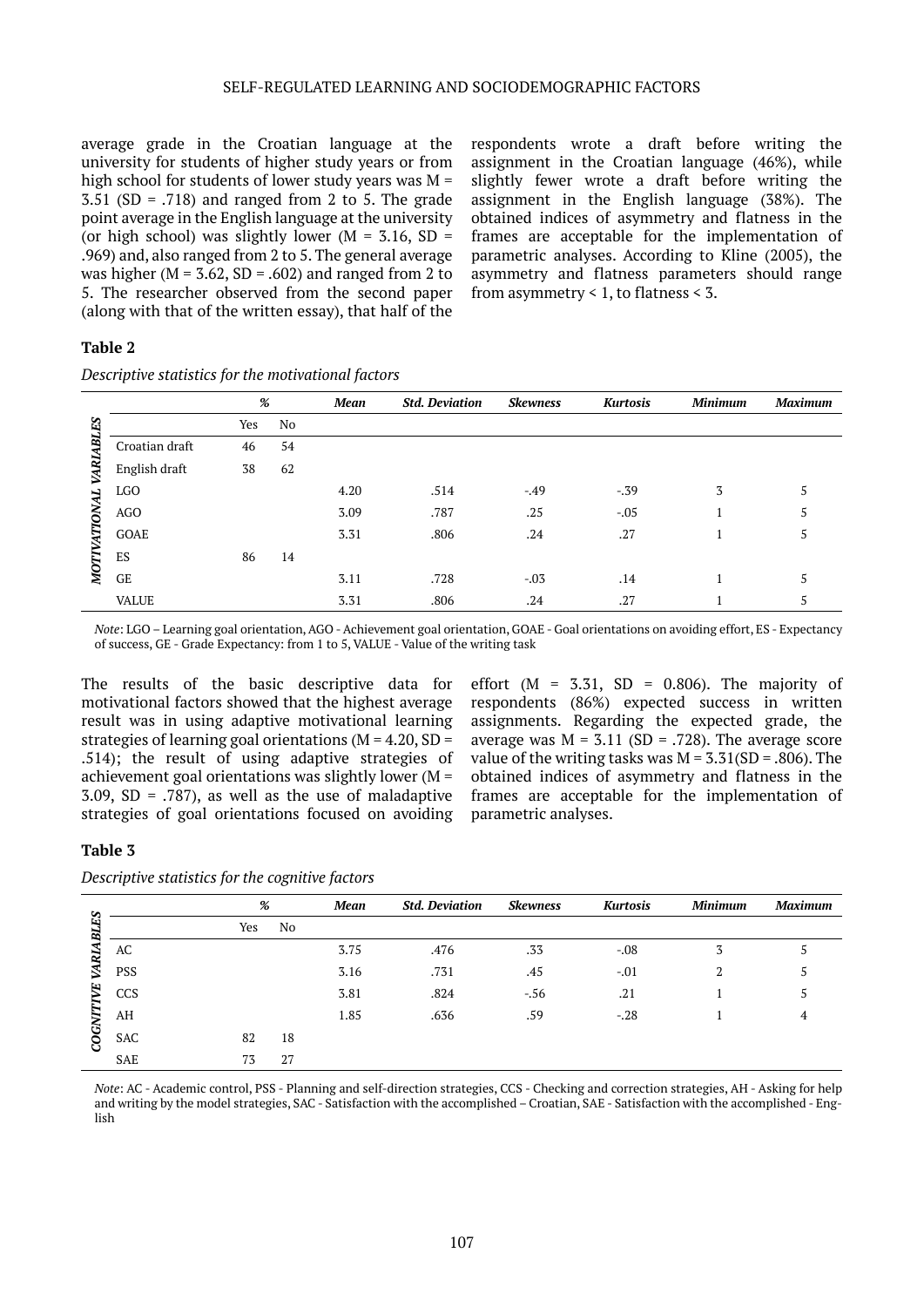#### SELF-REGULATED LEARNING AND SOCIODEMOGRAPHIC FACTORS

average grade in the Croatian language at the university for students of higher study years or from high school for students of lower study years was  $M =$  $3.51$  (SD = .718) and ranged from 2 to 5. The grade point average in the English language at the university (or high school) was slightly lower ( $M = 3.16$ , SD = .969) and, also ranged from 2 to 5. The general average was higher ( $M = 3.62$ ,  $SD = .602$ ) and ranged from 2 to 5. The researcher observed from the second paper (along with that of the written essay), that half of the

respondents wrote a draft before writing the assignment in the Croatian language (46%), while slightly fewer wrote a draft before writing the assignment in the English language (38%). The obtained indices of asymmetry and flatness in the frames are acceptable for the implementation of parametric analyses. According to Kline (2005), the asymmetry and flatness parameters should range from asymmetry < 1, to flatness < 3.

#### **Table 2**

*Descriptive statistics for the motivational factors*

|                |                | %   |    | Mean | <b>Std. Deviation</b> | Skewness | <b>Kurtosis</b> | <b>Minimum</b> | <b>Maximum</b> |
|----------------|----------------|-----|----|------|-----------------------|----------|-----------------|----------------|----------------|
| R              |                | Yes | No |      |                       |          |                 |                |                |
| E              | Croatian draft | 46  | 54 |      |                       |          |                 |                |                |
| <b>AR</b>      | English draft  | 38  | 62 |      |                       |          |                 |                |                |
| <b>ATIONAL</b> | <b>LGO</b>     |     |    | 4.20 | .514                  | $-.49$   | $-39$           | 3              | 5              |
|                | AGO            |     |    | 3.09 | .787                  | .25      | $-0.05$         |                | C.             |
|                | GOAE           |     |    | 3.31 | .806                  | .24      | .27             |                | 5              |
|                | ES             | 86  | 14 |      |                       |          |                 |                |                |
| <b>MOTI</b>    | GE             |     |    | 3.11 | .728                  | $-.03$   | .14             |                |                |
|                | <b>VALUE</b>   |     |    | 3.31 | .806                  | .24      | .27             |                |                |

*Note*: LGO – Learning goal orientation, AGO - Achievement goal orientation, GOAE - Goal orientations on avoiding effort, ES - Expectancy of success, GE - Grade Expectancy: from 1 to 5, VALUE - Value of the writing task

The results of the basic descriptive data for motivational factors showed that the highest average result was in using adaptive motivational learning strategies of learning goal orientations ( $M = 4.20$ , SD = .514); the result of using adaptive strategies of achievement goal orientations was slightly lower ( $M =$  $3.09$ , SD =  $.787$ ), as well as the use of maladaptive strategies of goal orientations focused on avoiding

effort  $(M = 3.31, SD = 0.806)$ . The majority of respondents (86%) expected success in written assignments. Regarding the expected grade, the average was  $M = 3.11$  (SD = .728). The average score value of the writing tasks was  $M = 3.31(SD = .806)$ . The obtained indices of asymmetry and flatness in the frames are acceptable for the implementation of parametric analyses.

#### **Table 3**

*Descriptive statistics for the cognitive factors*

| n           |            | %   |    | Mean | <b>Std. Deviation</b> | <b>Skewness</b> | <b>Kurtosis</b> | <b>Minimum</b> | <b>Maximum</b> |
|-------------|------------|-----|----|------|-----------------------|-----------------|-----------------|----------------|----------------|
| Ŀ.<br>æ     |            | Yes | No |      |                       |                 |                 |                |                |
| RИ          | AC         |     |    | 3.75 | .476                  | .33             | $-.08$          | 3              |                |
| Z<br>COGNIT | PSS        |     |    | 3.16 | .731                  | .45             | $-.01$          | n<br>z         |                |
|             | CCS        |     |    | 3.81 | .824                  | $-.56$          | .21             |                |                |
|             | AH         |     |    | 1.85 | .636                  | .59             | $-.28$          |                | 4              |
|             | <b>SAC</b> | 82  | 18 |      |                       |                 |                 |                |                |
|             | SAE        | 73  | 27 |      |                       |                 |                 |                |                |

*Note*: AC - Academic control, PSS - Planning and self-direction strategies, CCS - Checking and correction strategies, AH - Asking for help and writing by the model strategies, SAC - Satisfaction with the accomplished – Croatian, SAE - Satisfaction with the accomplished - English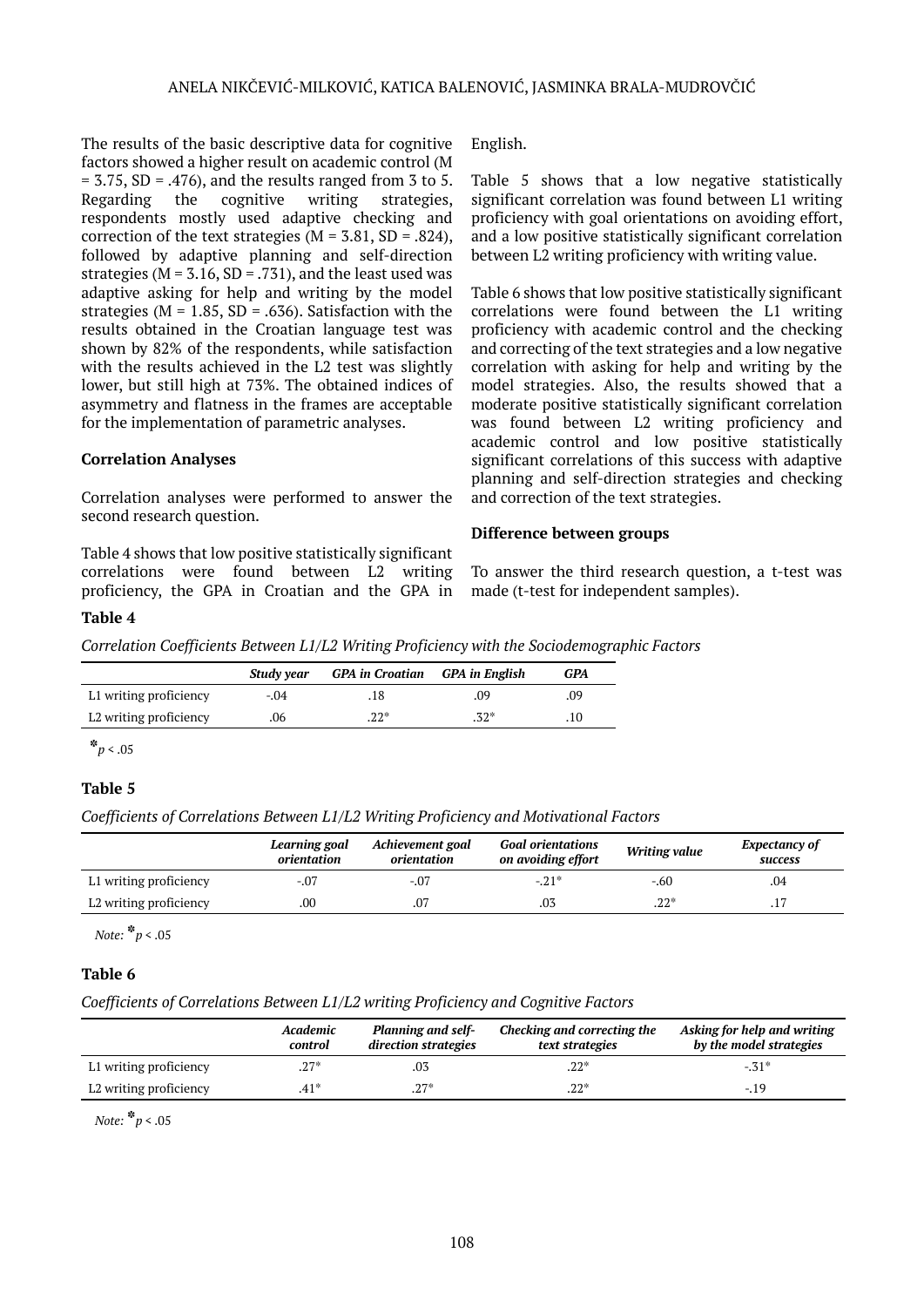The results of the basic descriptive data for cognitive factors showed a higher result on academic control (M  $= 3.75$ , SD  $= .476$ ), and the results ranged from 3 to 5. Regarding the cognitive writing strategies, respondents mostly used adaptive checking and correction of the text strategies ( $M = 3.81$ , SD = .824), followed by adaptive planning and self-direction strategies ( $M = 3.16$ ,  $SD = 0.731$ ), and the least used was adaptive asking for help and writing by the model strategies ( $M = 1.85$ ,  $SD = .636$ ). Satisfaction with the results obtained in the Croatian language test was shown by 82% of the respondents, while satisfaction with the results achieved in the L2 test was slightly lower, but still high at 73%. The obtained indices of asymmetry and flatness in the frames are acceptable for the implementation of parametric analyses.

# **Correlation Analyses**

Correlation analyses were performed to answer the second research question.

Table 4 shows that low positive statistically significant correlations were found between L2 writing proficiency, the GPA in Croatian and the GPA in English.

Table 5 shows that a low negative statistically significant correlation was found between L1 writing proficiency with goal orientations on avoiding effort, and a low positive statistically significant correlation between L2 writing proficiency with writing value.

Table 6 shows that low positive statistically significant correlations were found between the L1 writing proficiency with academic control and the checking and correcting of the text strategies and a low negative correlation with asking for help and writing by the model strategies. Also, the results showed that a moderate positive statistically significant correlation was found between L2 writing proficiency and academic control and low positive statistically significant correlations of this success with adaptive planning and self-direction strategies and checking and correction of the text strategies.

## **Difference between groups**

To answer the third research question, a t-test was made (t-test for independent samples).

#### **Table 4**

*Correlation Coefficients Between L1/L2 Writing Proficiency with the Sociodemographic Factors*

|                        | Study year | <b>GPA</b> in Croatian <b>GPA</b> in English |        | GPA |
|------------------------|------------|----------------------------------------------|--------|-----|
| L1 writing proficiency | $-.04$     | .18                                          | .09    | .09 |
| L2 writing proficiency | .06        | $.22*$                                       | $.32*$ | .10 |

 $*_{p < .05}$ 

# **Table 5**

*Coefficients of Correlations Between L1/L2 Writing Proficiency and Motivational Factors*

|                        | Learning goal<br>orientation | Achievement goal<br>orientation | <b>Goal orientations</b><br>on avoiding effort | Writing value | <b>Expectancy of</b><br><b>success</b> |
|------------------------|------------------------------|---------------------------------|------------------------------------------------|---------------|----------------------------------------|
| L1 writing proficiency | $-.07$                       | $-.07$                          | $-21*$                                         | -.60          | .04                                    |
| L2 writing proficiency | .00                          | .07                             | .03                                            | $.22*$        | ، ۱،                                   |

*Note:* **\****p* < .05

# **Table 6**

*Coefficients of Correlations Between L1/L2 writing Proficiency and Cognitive Factors*

|                        | Academic<br>control | <b>Planning and self-</b><br>direction strategies | Checking and correcting the<br>text strategies | Asking for help and writing<br>by the model strategies |
|------------------------|---------------------|---------------------------------------------------|------------------------------------------------|--------------------------------------------------------|
| L1 writing proficiency | $.27*$              | .03                                               | $.22*$                                         | $-.31*$                                                |
| L2 writing proficiency | $.41*$              | $.27*$                                            | $.22*$                                         | $-19$                                                  |

*Note:* **\****p* < .05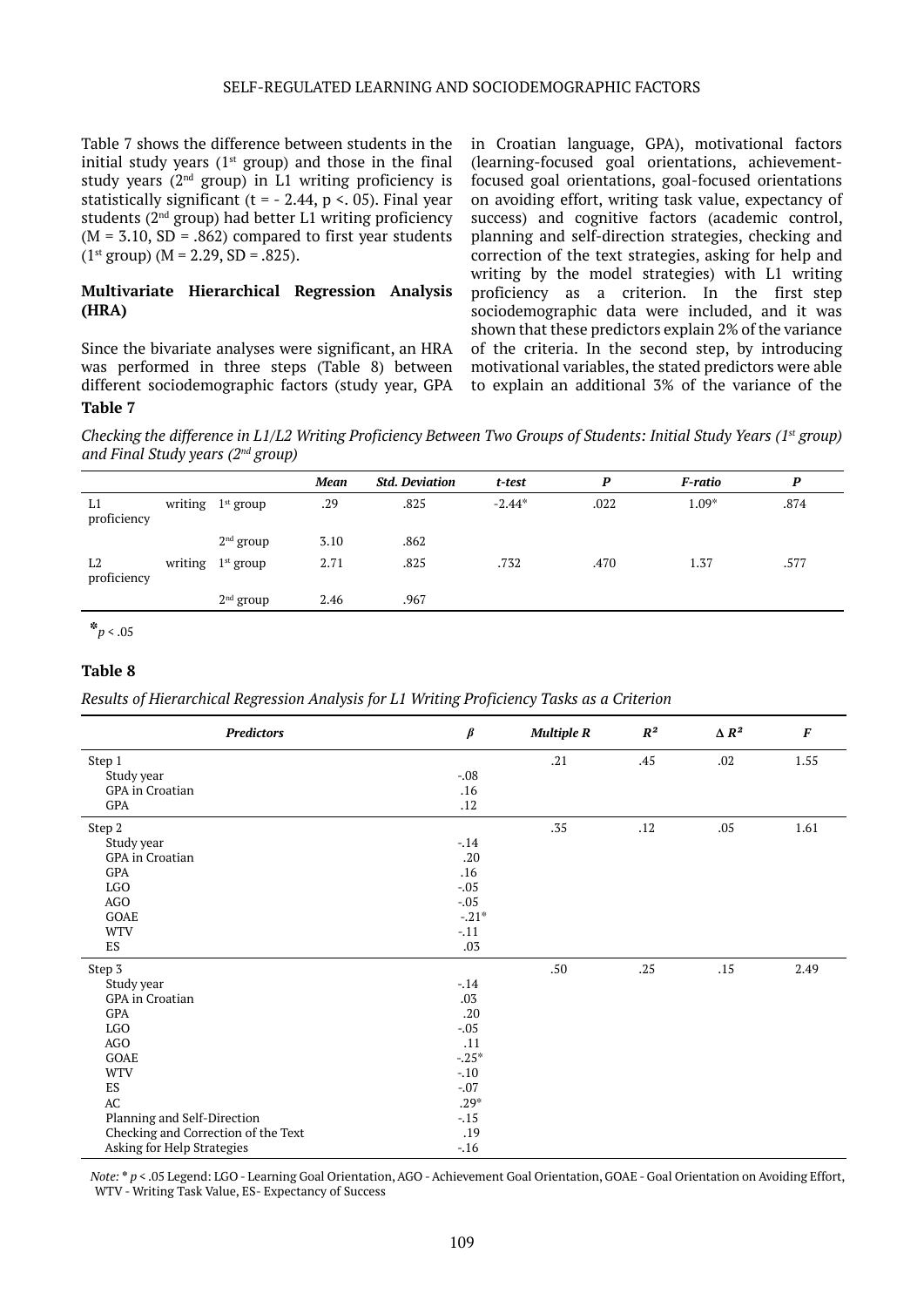#### SELF-REGULATED LEARNING AND SOCIODEMOGRAPHIC FACTORS

Table 7 shows the difference between students in the initial study years  $(1<sup>st</sup> group)$  and those in the final study years (2nd group) in L1 writing proficiency is statistically significant (t =  $-$  2.44, p < 05). Final year students  $(2<sup>nd</sup> group)$  had better L1 writing proficiency  $(M = 3.10, SD = .862)$  compared to first year students  $(1^{st}$  group)  $(M = 2.29, SD = .825)$ .

#### **Multivariate Hierarchical Regression Analysis (HRA)**

Since the bivariate analyses were significant, an HRA was performed in three steps (Table 8) between different sociodemographic factors (study year, GPA **Table 7**

in Croatian language, GPA), motivational factors (learning-focused goal orientations, achievementfocused goal orientations, goal-focused orientations on avoiding effort, writing task value, expectancy of success) and cognitive factors (academic control, planning and self-direction strategies, checking and correction of the text strategies, asking for help and writing by the model strategies) with L1 writing proficiency as a criterion. In the first step sociodemographic data were included, and it was shown that these predictors explain 2% of the variance of the criteria. In the second step, by introducing motivational variables, the stated predictors were able to explain an additional 3% of the variance of the

*Checking the difference in L1/L2 Writing Proficiency Between Two Groups of Students: Initial Study Years (1st group) and Final Study years (2nd group)*

|                               |                     | <b>Mean</b> | <b>Std. Deviation</b> | t-test   | P    | F-ratio | P    |
|-------------------------------|---------------------|-------------|-----------------------|----------|------|---------|------|
| L1<br>proficiency             | writing $1st$ group | .29         | .825                  | $-2.44*$ | .022 | $1.09*$ | .874 |
|                               | $2nd$ group         | 3.10        | .862                  |          |      |         |      |
| L <sub>2</sub><br>proficiency | writing $1st$ group | 2.71        | .825                  | .732     | .470 | 1.37    | .577 |
|                               | $2nd$ group         | 2.46        | .967                  |          |      |         |      |

**\****p* < .05

## **Table 8**

*Results of Hierarchical Regression Analysis for L1 Writing Proficiency Tasks as a Criterion*

| <b>Predictors</b>                   | $\pmb{\beta}$ | <b>Multiple R</b> | $R^2$ | $\Delta$ $R^2$ | $\boldsymbol{F}$ |
|-------------------------------------|---------------|-------------------|-------|----------------|------------------|
| Step 1                              |               | .21               | .45   | .02            | 1.55             |
| Study year                          | $-.08$        |                   |       |                |                  |
| GPA in Croatian                     | .16           |                   |       |                |                  |
| GPA                                 | .12           |                   |       |                |                  |
| Step 2                              |               | .35               | .12   | .05            | 1.61             |
| Study year                          | $-14$         |                   |       |                |                  |
| GPA in Croatian                     | .20           |                   |       |                |                  |
| GPA                                 | .16           |                   |       |                |                  |
| <b>LGO</b>                          | $-.05$        |                   |       |                |                  |
| AGO                                 | $-.05$        |                   |       |                |                  |
| GOAE                                | $-.21*$       |                   |       |                |                  |
| <b>WTV</b>                          | $-.11$        |                   |       |                |                  |
| ES                                  | .03           |                   |       |                |                  |
| Step 3                              |               | .50               | .25   | .15            | 2.49             |
| Study year                          | $-14$         |                   |       |                |                  |
| GPA in Croatian                     | .03           |                   |       |                |                  |
| GPA                                 | .20           |                   |       |                |                  |
| <b>LGO</b>                          | $-.05$        |                   |       |                |                  |
| AGO                                 | .11           |                   |       |                |                  |
| GOAE                                | $-.25*$       |                   |       |                |                  |
| <b>WTV</b>                          | $-.10$        |                   |       |                |                  |
| ES                                  | $-.07$        |                   |       |                |                  |
| $\mathbf{A}\mathbf{C}$              | $.29*$        |                   |       |                |                  |
| Planning and Self-Direction         | $-.15$        |                   |       |                |                  |
| Checking and Correction of the Text | .19           |                   |       |                |                  |
| Asking for Help Strategies          | $-.16$        |                   |       |                |                  |

*Note:* **\*** *p* < .05 Legend: LGO - Learning Goal Orientation, AGO - Achievement Goal Orientation, GOAE - Goal Orientation on Avoiding Effort, WTV - Writing Task Value, ES- Expectancy of Success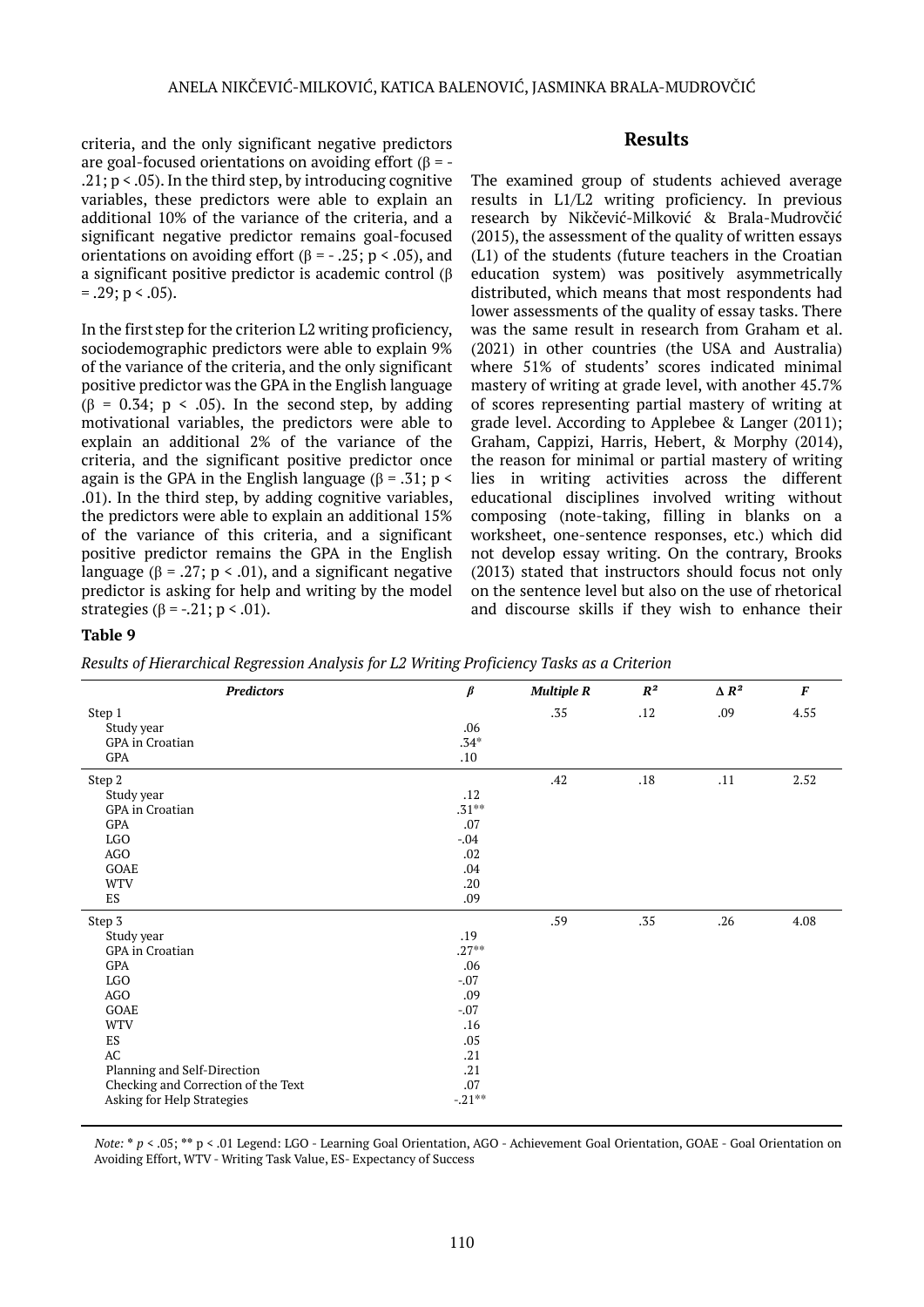criteria, and the only significant negative predictors are goal-focused orientations on avoiding effort (β = -.21;  $p < .05$ ). In the third step, by introducing cognitive variables, these predictors were able to explain an additional 10% of the variance of the criteria, and a significant negative predictor remains goal-focused orientations on avoiding effort (β =  $-.25$ ; p < .05), and a significant positive predictor is academic control (β  $= .29$ ; p  $< .05$ ).

In the first step for the criterion L2 writing proficiency, sociodemographic predictors were able to explain 9% of the variance of the criteria, and the only significant positive predictor was the GPA in the English language  $(\beta = 0.34; p < .05)$ . In the second step, by adding motivational variables, the predictors were able to explain an additional 2% of the variance of the criteria, and the significant positive predictor once again is the GPA in the English language ( $\beta$  = .31; p < .01). In the third step, by adding cognitive variables, the predictors were able to explain an additional 15% of the variance of this criteria, and a significant positive predictor remains the GPA in the English language ( $\beta = .27$ ; p < .01), and a significant negative predictor is asking for help and writing by the model strategies ( $\beta$  = -.21; p < .01).

# **Results**

The examined group of students achieved average results in L1/L2 writing proficiency. In previous research by Nikčević-Milković & Brala-Mudrovčić (2015), the assessment of the quality of written essays (L1) of the students (future teachers in the Croatian education system) was positively asymmetrically distributed, which means that most respondents had lower assessments of the quality of essay tasks. There was the same result in research from Graham et al. (2021) in other countries (the USA and Australia) where 51% of students' scores indicated minimal mastery of writing at grade level, with another 45.7% of scores representing partial mastery of writing at grade level. According to Applebee & Langer (2011); Graham, Cappizi, Harris, Hebert, & Morphy (2014), the reason for minimal or partial mastery of writing lies in writing activities across the different educational disciplines involved writing without composing (note-taking, filling in blanks on a worksheet, one-sentence responses, etc.) which did not develop essay writing. On the contrary, Brooks (2013) stated that instructors should focus not only on the sentence level but also on the use of rhetorical and discourse skills if they wish to enhance their

# **Table 9**

*Results of Hierarchical Regression Analysis for L2 Writing Proficiency Tasks as a Criterion*

| <b>Predictors</b>                   | $\pmb{\beta}$ | <b>Multiple R</b> | $\mathbb{R}^2$ | $\Delta$ $R^2$ | $\boldsymbol{F}$ |
|-------------------------------------|---------------|-------------------|----------------|----------------|------------------|
| Step 1                              |               | .35               | .12            | .09            | 4.55             |
| Study year                          | .06           |                   |                |                |                  |
| <b>GPA</b> in Croatian              | $.34*$        |                   |                |                |                  |
| GPA                                 | .10           |                   |                |                |                  |
| Step 2                              |               | .42               | .18            | .11            | 2.52             |
| Study year                          | .12           |                   |                |                |                  |
| GPA in Croatian                     | $.31***$      |                   |                |                |                  |
| GPA                                 | .07           |                   |                |                |                  |
| LGO                                 | $-.04$        |                   |                |                |                  |
| AGO                                 | .02           |                   |                |                |                  |
| GOAE                                | .04           |                   |                |                |                  |
| <b>WTV</b>                          | .20           |                   |                |                |                  |
| ES                                  | .09           |                   |                |                |                  |
| Step 3                              |               | .59               | .35            | .26            | 4.08             |
| Study year                          | .19           |                   |                |                |                  |
| GPA in Croatian                     | $.27***$      |                   |                |                |                  |
| GPA                                 | .06           |                   |                |                |                  |
| LGO                                 | $-.07$        |                   |                |                |                  |
| AGO                                 | .09           |                   |                |                |                  |
| GOAE                                | $-.07$        |                   |                |                |                  |
| <b>WTV</b>                          | .16           |                   |                |                |                  |
| ES                                  | .05           |                   |                |                |                  |
| $\mathbf{A}\mathbf{C}$              | .21           |                   |                |                |                  |
| Planning and Self-Direction         | .21           |                   |                |                |                  |
| Checking and Correction of the Text | .07           |                   |                |                |                  |
| Asking for Help Strategies          | $-.21***$     |                   |                |                |                  |

*Note:* **\*** *p* < .05; **\*\*** p < .01 Legend: LGO - Learning Goal Orientation, AGO - Achievement Goal Orientation, GOAE - Goal Orientation on Avoiding Effort, WTV - Writing Task Value, ES- Expectancy of Success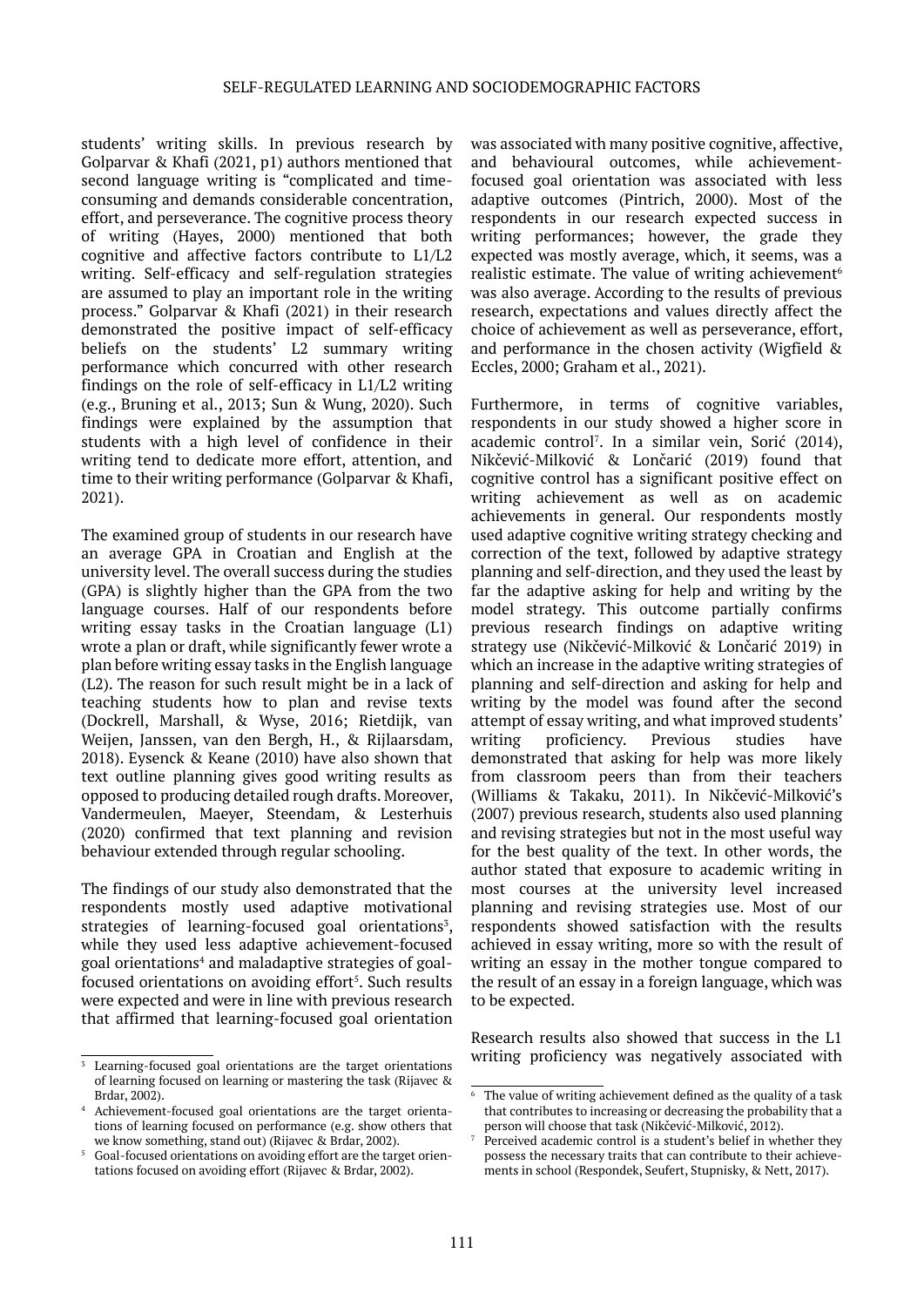students' writing skills. In previous research by Golparvar & Khafi (2021, p1) authors mentioned that second language writing is "complicated and timeconsuming and demands considerable concentration, effort, and perseverance. The cognitive process theory of writing (Hayes, 2000) mentioned that both cognitive and affective factors contribute to L1/L2 writing. Self-efficacy and self-regulation strategies are assumed to play an important role in the writing process." Golparvar & Khafi (2021) in their research demonstrated the positive impact of self-efficacy beliefs on the students' L2 summary writing performance which concurred with other research findings on the role of self-efficacy in L1/L2 writing (e.g., Bruning et al., 2013; Sun & Wung, 2020). Such findings were explained by the assumption that students with a high level of confidence in their writing tend to dedicate more effort, attention, and time to their writing performance (Golparvar & Khafi, 2021).

The examined group of students in our research have an average GPA in Croatian and English at the university level. The overall success during the studies (GPA) is slightly higher than the GPA from the two language courses. Half of our respondents before writing essay tasks in the Croatian language (L1) wrote a plan or draft, while significantly fewer wrote a plan before writing essay tasks in the English language (L2). The reason for such result might be in a lack of teaching students how to plan and revise texts (Dockrell, Marshall, & Wyse, 2016; Rietdijk, van Weijen, Janssen, van den Bergh, H., & Rijlaarsdam, 2018). Eysenck & Keane (2010) have also shown that text outline planning gives good writing results as opposed to producing detailed rough drafts. Moreover, Vandermeulen, Maeyer, Steendam, & Lesterhuis (2020) confirmed that text planning and revision behaviour extended through regular schooling.

The findings of our study also demonstrated that the respondents mostly used adaptive motivational strategies of learning-focused goal orientations $3$ , while they used less adaptive achievement-focused goal orientations<sup>4</sup> and maladaptive strategies of goalfocused orientations on avoiding effort $5$ . Such results were expected and were in line with previous research that affirmed that learning-focused goal orientation

was associated with many positive cognitive, affective, and behavioural outcomes, while achievementfocused goal orientation was associated with less adaptive outcomes (Pintrich, 2000). Most of the respondents in our research expected success in writing performances; however, the grade they expected was mostly average, which, it seems, was a realistic estimate. The value of writing achievement $6$ was also average. According to the results of previous research, expectations and values directly affect the choice of achievement as well as perseverance, effort, and performance in the chosen activity (Wigfield & Eccles, 2000; Graham et al., 2021).

Furthermore, in terms of cognitive variables, respondents in our study showed a higher score in academic control<sup>7</sup> <sup>5</sup> . In a similar vein, Sorić (2014), Nikčević-Milković & Lončarić (2019) found that cognitive control has a significant positive effect on writing achievement as well as on academic achievements in general. Our respondents mostly used adaptive cognitive writing strategy checking and correction of the text, followed by adaptive strategy planning and self-direction, and they used the least by far the adaptive asking for help and writing by the model strategy. This outcome partially confirms previous research findings on adaptive writing strategy use (Nikčević-Milković & Lončarić 2019) in which an increase in the adaptive writing strategies of planning and self-direction and asking for help and writing by the model was found after the second attempt of essay writing, and what improved students' writing proficiency. Previous studies have demonstrated that asking for help was more likely from classroom peers than from their teachers (Williams & Takaku, 2011). In Nikčević-Milković's (2007) previous research, students also used planning and revising strategies but not in the most useful way for the best quality of the text. In other words, the author stated that exposure to academic writing in most courses at the university level increased planning and revising strategies use. Most of our respondents showed satisfaction with the results achieved in essay writing, more so with the result of writing an essay in the mother tongue compared to the result of an essay in a foreign language, which was to be expected.

Research results also showed that success in the L1 writing proficiency was negatively associated with

<sup>&</sup>lt;sup>3</sup> Learning-focused goal orientations are the target orientations of learning focused on learning or mastering the task (Rijavec & Brdar, 2002).

<sup>4</sup> <sup>2</sup> Achievement-focused goal orientations are the target orientations of learning focused on performance (e.g. show others that we know something, stand out) (Rijavec & Brdar, 2002).

<sup>5</sup> Goal-focused orientations on avoiding effort are the target orientations focused on avoiding effort (Rijavec & Brdar, 2002).

<sup>6</sup> The value of writing achievement defined as the quality of a task that contributes to increasing or decreasing the probability that a person will choose that task (Nikčević-Milković, 2012).

<sup>7</sup> Perceived academic control is a student's belief in whether they possess the necessary traits that can contribute to their achievements in school (Respondek, Seufert, Stupnisky, & Nett, 2017).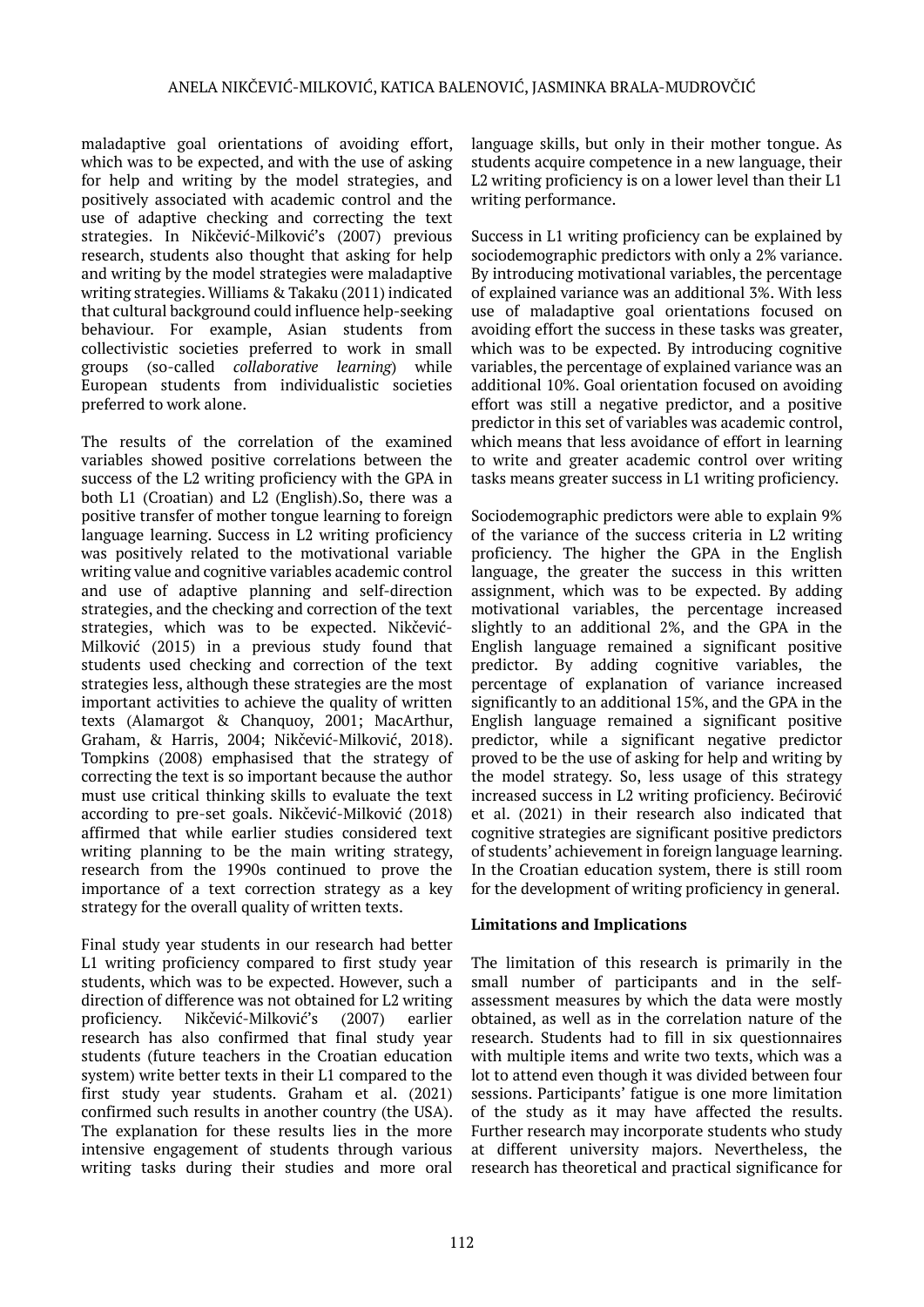maladaptive goal orientations of avoiding effort, which was to be expected, and with the use of asking for help and writing by the model strategies, and positively associated with academic control and the use of adaptive checking and correcting the text strategies. In Nikčević-Milković's (2007) previous research, students also thought that asking for help and writing by the model strategies were maladaptive writing strategies. Williams & Takaku (2011) indicated that cultural background could influence help-seeking behaviour. For example, Asian students from collectivistic societies preferred to work in small groups (so-called *collaborative learning*) while European students from individualistic societies preferred to work alone.

The results of the correlation of the examined variables showed positive correlations between the success of the L2 writing proficiency with the GPA in both L1 (Croatian) and L2 (English).So, there was a positive transfer of mother tongue learning to foreign language learning. Success in L2 writing proficiency was positively related to the motivational variable writing value and cognitive variables academic control and use of adaptive planning and self-direction strategies, and the checking and correction of the text strategies, which was to be expected. Nikčević-Milković (2015) in a previous study found that students used checking and correction of the text strategies less, although these strategies are the most important activities to achieve the quality of written texts (Alamargot & Chanquoy, 2001; MacArthur, Graham, & Harris, 2004; Nikčević-Milković, 2018). Tompkins (2008) emphasised that the strategy of correcting the text is so important because the author must use critical thinking skills to evaluate the text according to pre-set goals. Nikčević-Milković (2018) affirmed that while earlier studies considered text writing planning to be the main writing strategy, research from the 1990s continued to prove the importance of a text correction strategy as a key strategy for the overall quality of written texts.

Final study year students in our research had better L1 writing proficiency compared to first study year students, which was to be expected. However, such a direction of difference was not obtained for L2 writing proficiency. Nikčević-Milković's (2007) earlier research has also confirmed that final study year students (future teachers in the Croatian education system) write better texts in their L1 compared to the first study year students. Graham et al. (2021) confirmed such results in another country (the USA). The explanation for these results lies in the more intensive engagement of students through various writing tasks during their studies and more oral

language skills, but only in their mother tongue. As students acquire competence in a new language, their L2 writing proficiency is on a lower level than their L1 writing performance.

Success in L1 writing proficiency can be explained by sociodemographic predictors with only a 2% variance. By introducing motivational variables, the percentage of explained variance was an additional 3%. With less use of maladaptive goal orientations focused on avoiding effort the success in these tasks was greater, which was to be expected. By introducing cognitive variables, the percentage of explained variance was an additional 10%. Goal orientation focused on avoiding effort was still a negative predictor, and a positive predictor in this set of variables was academic control, which means that less avoidance of effort in learning to write and greater academic control over writing tasks means greater success in L1 writing proficiency.

Sociodemographic predictors were able to explain 9% of the variance of the success criteria in L2 writing proficiency. The higher the GPA in the English language, the greater the success in this written assignment, which was to be expected. By adding motivational variables, the percentage increased slightly to an additional 2%, and the GPA in the English language remained a significant positive predictor. By adding cognitive variables, the percentage of explanation of variance increased significantly to an additional 15%, and the GPA in the English language remained a significant positive predictor, while a significant negative predictor proved to be the use of asking for help and writing by the model strategy. So, less usage of this strategy increased success in L2 writing proficiency. Bećirović et al. (2021) in their research also indicated that cognitive strategies are significant positive predictors of students' achievement in foreign language learning. In the Croatian education system, there is still room for the development of writing proficiency in general.

# **Limitations and Implications**

The limitation of this research is primarily in the small number of participants and in the selfassessment measures by which the data were mostly obtained, as well as in the correlation nature of the research. Students had to fill in six questionnaires with multiple items and write two texts, which was a lot to attend even though it was divided between four sessions. Participants' fatigue is one more limitation of the study as it may have affected the results. Further research may incorporate students who study at different university majors. Nevertheless, the research has theoretical and practical significance for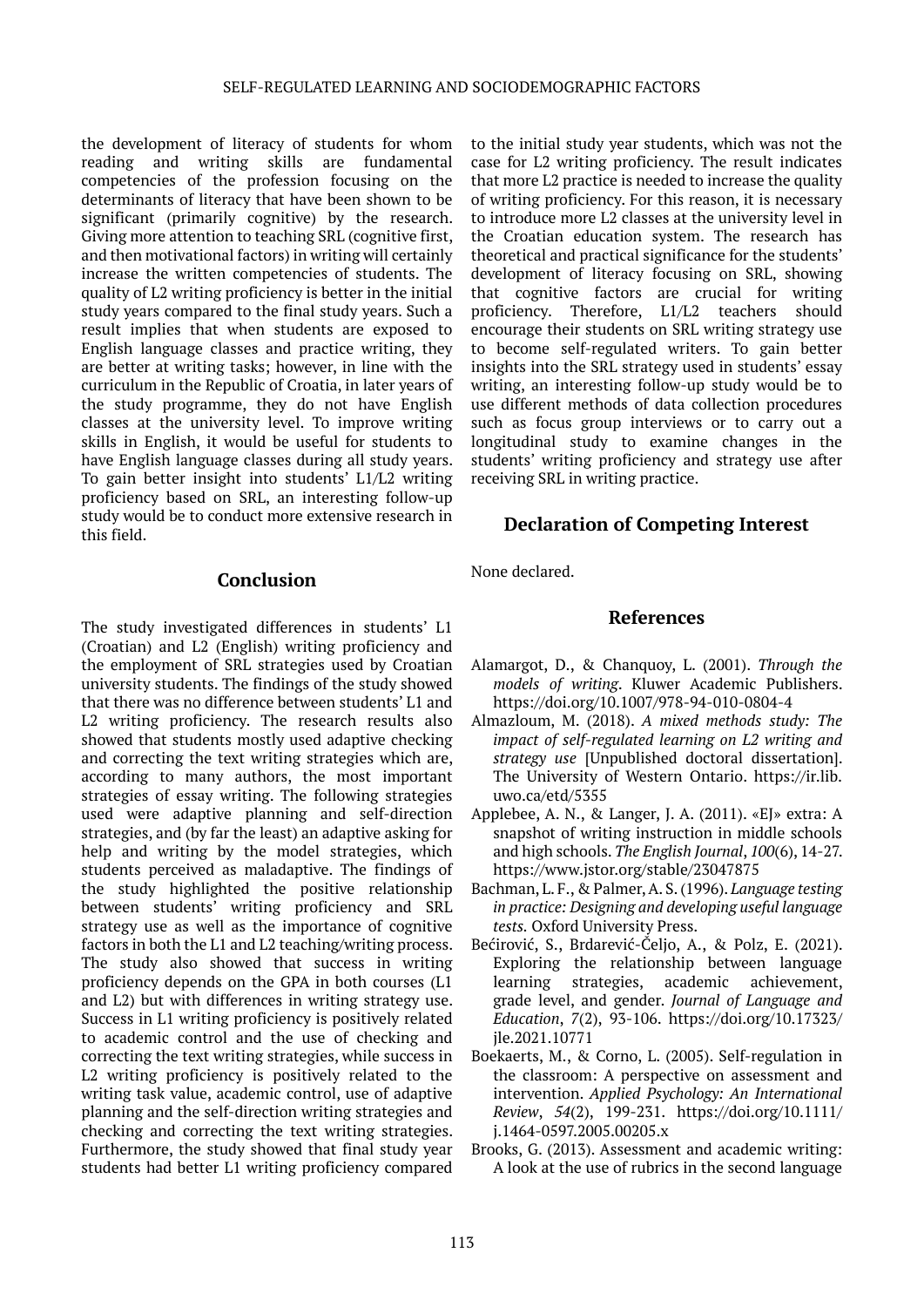the development of literacy of students for whom reading and writing skills are fundamental competencies of the profession focusing on the determinants of literacy that have been shown to be significant (primarily cognitive) by the research. Giving more attention to teaching SRL (cognitive first, and then motivational factors) in writing will certainly increase the written competencies of students. The quality of L2 writing proficiency is better in the initial study years compared to the final study years. Such a result implies that when students are exposed to English language classes and practice writing, they are better at writing tasks; however, in line with the curriculum in the Republic of Croatia, in later years of the study programme, they do not have English classes at the university level. To improve writing skills in English, it would be useful for students to have English language classes during all study years. To gain better insight into students' L1/L2 writing proficiency based on SRL, an interesting follow-up study would be to conduct more extensive research in this field.

# **Conclusion**

The study investigated differences in students' L1 (Croatian) and L2 (English) writing proficiency and the employment of SRL strategies used by Croatian university students. The findings of the study showed that there was no difference between students' L1 and L2 writing proficiency. The research results also showed that students mostly used adaptive checking and correcting the text writing strategies which are, according to many authors, the most important strategies of essay writing. The following strategies used were adaptive planning and self-direction strategies, and (by far the least) an adaptive asking for help and writing by the model strategies, which students perceived as maladaptive. The findings of the study highlighted the positive relationship between students' writing proficiency and SRL strategy use as well as the importance of cognitive factors in both the L1 and L2 teaching/writing process. The study also showed that success in writing proficiency depends on the GPA in both courses (L1 and L2) but with differences in writing strategy use. Success in L1 writing proficiency is positively related to academic control and the use of checking and correcting the text writing strategies, while success in L2 writing proficiency is positively related to the writing task value, academic control, use of adaptive planning and the self-direction writing strategies and checking and correcting the text writing strategies. Furthermore, the study showed that final study year students had better L1 writing proficiency compared

to the initial study year students, which was not the case for L2 writing proficiency. The result indicates that more L2 practice is needed to increase the quality of writing proficiency. For this reason, it is necessary to introduce more L2 classes at the university level in the Croatian education system. The research has theoretical and practical significance for the students' development of literacy focusing on SRL, showing that cognitive factors are crucial for writing proficiency. Therefore, L1/L2 teachers should encourage their students on SRL writing strategy use to become self-regulated writers. To gain better insights into the SRL strategy used in students' essay writing, an interesting follow-up study would be to use different methods of data collection procedures such as focus group interviews or to carry out a longitudinal study to examine changes in the students' writing proficiency and strategy use after receiving SRL in writing practice.

# **Declaration of Competing Interest**

None declared.

# **References**

- Alamargot, D., & Chanquoy, L. (2001). *Through the models of writing*. Kluwer Academic Publishers. https://doi.org/10.1007/978-94-010-0804-4
- Almazloum, M. (2018). *A mixed methods study: The impact of self-regulated learning on L2 writing and strategy use* [Unpublished doctoral dissertation]. The University of Western Ontario. https://ir.lib. uwo.ca/etd/5355
- Applebee, A. N., & Langer, J. A. (2011). «EJ» extra: A snapshot of writing instruction in middle schools and high schools. *The English Journal*, *100*(6), 14-27. https://www.jstor.org/stable/23047875
- Bachman, L. F., & Palmer, A. S. (1996). *Language testing in practice: Designing and developing useful language tests.* Oxford University Press.
- Bećirović, S., Brdarević-Čeljo, A., & Polz, E. (2021). Exploring the relationship between language learning strategies, academic achievement, grade level, and gender. *Journal of Language and Education*, *7*(2), 93-106. [https://doi.org/10.17323/](https://doi.org/10.17323/jle.2021.10771) [jle.2021.10771](https://doi.org/10.17323/jle.2021.10771)
- Boekaerts, M., & Corno, L. (2005). Self-regulation in the classroom: A perspective on assessment and intervention. *Applied Psychology: An International Review*, *54*(2), 199-231. https://doi.org/10.1111/ j.1464-0597.2005.00205.x
- Brooks, G. (2013). Assessment and academic writing: A look at the use of rubrics in the second language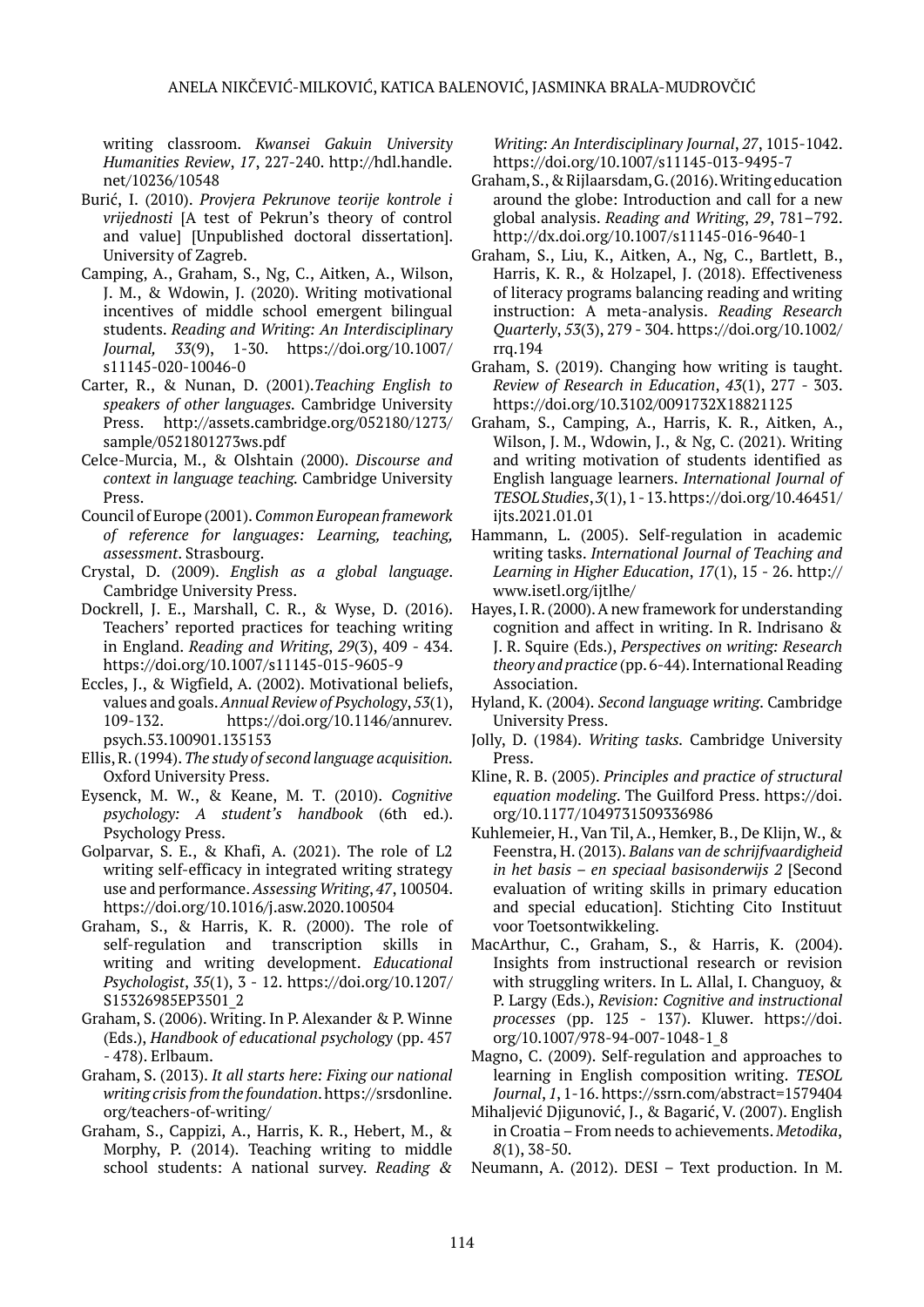writing classroom. *Kwansei Gakuin University Humanities Review*, *17*, 227-240. http://hdl.handle. net/10236/10548

- Burić, I. (2010). *Provjera Pekrunove teorije kontrole i vrijednosti* [A test of Pekrun's theory of control and value] [Unpublished doctoral dissertation]. University of Zagreb.
- Camping, A., Graham, S., Ng, C., Aitken, A., Wilson, J. M., & Wdowin, J. (2020). Writing motivational incentives of middle school emergent bilingual students. *Reading and Writing: An Interdisciplinary Journal, 33*(9), 1-30. https://doi.org/10.1007/ s11145-020-10046-0
- Carter, R., & Nunan, D. (2001).*Teaching English to speakers of other languages.* Cambridge University Press. http://assets.cambridge.org/052180/1273/ sample/0521801273ws.pdf
- Celce-Murcia, M., & Olshtain (2000). *Discourse and context in language teaching.* Cambridge University Press.
- Council of Europe (2001). *Common European framework of reference for languages: Learning, teaching, assessment*. Strasbourg.
- Crystal, D. (2009). *English as a global language*. Cambridge University Press.
- Dockrell, J. E., Marshall, C. R., & Wyse, D. (2016). Teachers' reported practices for teaching writing in England. *Reading and Writing*, *29*(3), 409 - 434. <https://doi.org/10.1007/s11145-015-9605-9>
- Eccles, J., & Wigfield, A. (2002). Motivational beliefs, values and goals. *Annual Review of Psychology*, *53*(1), 109-132. https://doi.org/[10.1146/annurev.](https://www.researchgate.net/deref/http%3A%2F%2Fdx.doi.org%2F10.1146%2Fannurev.psych.53.100901.135153?_sg%5B0%5D=am-hvBHwx269koA8QIcOvseOKtNtuy9qOjBEdkWZY1np6qmSzhbVsod7guyr-bGSVwkVUcbjfZCXLz3tNhBFCNe9nQ.Tzgk1kosHoGiCDWvqa9M0yqn2a66aZm4oEwwLWNPyGKhZC6ZLaFGy0Gci1a2rH2mhZHImhoOZFEg4QXnccgEaw) [psych.53.100901.135153](https://www.researchgate.net/deref/http%3A%2F%2Fdx.doi.org%2F10.1146%2Fannurev.psych.53.100901.135153?_sg%5B0%5D=am-hvBHwx269koA8QIcOvseOKtNtuy9qOjBEdkWZY1np6qmSzhbVsod7guyr-bGSVwkVUcbjfZCXLz3tNhBFCNe9nQ.Tzgk1kosHoGiCDWvqa9M0yqn2a66aZm4oEwwLWNPyGKhZC6ZLaFGy0Gci1a2rH2mhZHImhoOZFEg4QXnccgEaw)
- Ellis, R. (1994). *The study of second language acquisition.*  Oxford University Press.
- Eysenck, M. W., & Keane, M. T. (2010). *Cognitive psychology: A student's handbook* (6th ed.). Psychology Press.
- Golparvar, S. E., & Khafi, A. (2021). The role of L2 writing self-efficacy in integrated writing strategy use and performance. *Assessing Writing*, *47*, 100504. <https://doi.org/10.1016/j.asw.2020.100504>
- Graham, S., & Harris, K. R. (2000). The role of self-regulation and transcription skills in writing and writing development. *Educational Psychologist*, *35*(1), 3 - 12. [https://doi.org/10.1207/](https://doi.org/10.1207/S15326985EP3501_2) [S15326985EP3501\\_2](https://doi.org/10.1207/S15326985EP3501_2)
- Graham, S. (2006). Writing. In P. Alexander & P. Winne (Eds.), *Handbook of educational psychology* (pp. 457 - 478). Erlbaum.
- Graham, S. (2013). *It all starts here: Fixing our national writing crisis from the foundation*. [https://srsdonline.](https://srsdonline.org/teachers-of-writing/) [org/teachers-of-writing/](https://srsdonline.org/teachers-of-writing/)
- Graham, S., Cappizi, A., Harris, K. R., Hebert, M., & Morphy, P. (2014). Teaching writing to middle school students: A national survey. *Reading &*

*Writing: An Interdisciplinary Journal*, *27*, 1015-1042. <https://doi.org/10.1007/s11145-013-9495-7>

- Graham, S., & Rijlaarsdam, G. (2016). Writing education around the globe: Introduction and call for a new global analysis. *Reading and Writing*, *29*, 781–792. <http://dx.doi.org/10.1007/s11145-016-9640-1>
- Graham, S., Liu, K., Aitken, A., Ng, C., Bartlett, B., Harris, K. R., & Holzapel, J. (2018). Effectiveness of literacy programs balancing reading and writing instruction: A meta-analysis. *Reading Research Quarterly*, *53*(3), 279 - 304. [https://doi.org/10.1002/](https://doi.org/10.1002/rrq.194) [rrq.194](https://doi.org/10.1002/rrq.194)
- Graham, S. (2019). Changing how writing is taught. *Review of Research in Education*, *43*(1), 277 - 303. <https://doi.org/10.3102/0091732X18821125>
- Graham, S., Camping, A., Harris, K. R., Aitken, A., Wilson, J. M., Wdowin, J., & Ng, C. (2021). Writing and writing motivation of students identified as English language learners. *International Journal of TESOL Studies*, *3*(1), 1 - 13. https://doi.org/10.46451/ ijts.2021.01.01
- Hammann, L. (2005). Self-regulation in academic writing tasks. *International Journal of Teaching and Learning in Higher Education*, *17*(1), 15 - 26. [http://](http://www.isetl.org/ijtlhe/) [www.isetl.org/ijtlhe/](http://www.isetl.org/ijtlhe/)
- Hayes, I. R. (2000). A new framework for understanding cognition and affect in writing. In R. Indrisano & J. R. Squire (Eds.), *Perspectives on writing: Research theory and practice* (pp. 6-44). International Reading Association.
- Hyland, K. (2004). *Second language writing*. Cambridge University Press.
- Jolly, D. (1984). *Writing tasks.* Cambridge University Press.
- Kline, R. B. (2005). *Principles and practice of structural equation modeling*. The Guilford Press. https://doi. org/[10.1177/1049731509336986](https://www.researchgate.net/deref/http%3A%2F%2Fdx.doi.org%2F10.1177%2F1049731509336986?_sg%5B0%5D=pmZwyQoF7d83BYBenisf7cRISrp2PDiy5CKqy2bMZY6ABa_RYJFm7Cm_TAoniQZ-6BncoY1xyYbpuxljMcWIh0N_lw.Q_AeWnVJUH0UTY8wnUQbqezCkb0L_Pe3COKDMUwx-pWvCG9n2iaLBWas81jePlnWN8l2DfriReZ3R4_EaaH7Yw)
- Kuhlemeier, H., Van Til, A., Hemker, B., De Klijn, W., & Feenstra, H. (2013). *Balans van de schrijfvaardigheid in het basis – en speciaal basisonderwijs 2* [Second evaluation of writing skills in primary education and special education]. Stichting Cito Instituut voor Toetsontwikkeling.
- MacArthur, C., Graham, S., & Harris, K. (2004). Insights from instructional research or revision with struggling writers. In L. Allal, I. Changuoy, & P. Largy (Eds.), *Revision: Cognitive and instructional processes* (pp. 125 - 137). Kluwer. https://doi. org/10.1007/978-94-007-1048-1\_8
- Magno, C. (2009). Self-regulation and approaches to learning in English composition writing. *TESOL Journal*, *1*, 1-16. https://ssrn.com/abstract=1579404
- Mihaljević Djigunović, J., & Bagarić, V. (2007). English in Croatia – From needs to achievements. *Metodika*, *8*(1), 38-50.
- Neumann, A. (2012). DESI Text production. In M.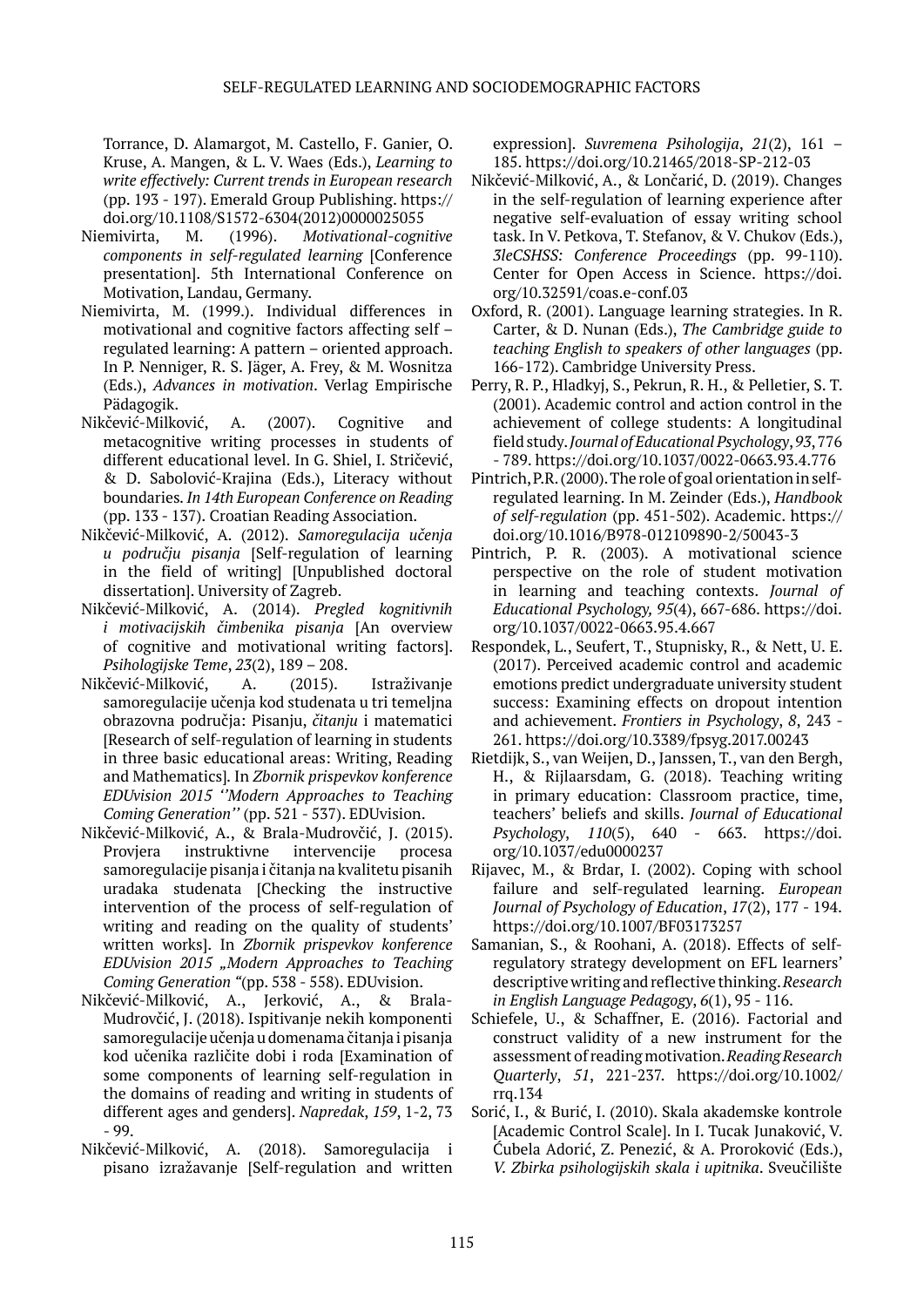Torrance, D. Alamargot, M. Castello, F. Ganier, O. Kruse, A. Mangen, & L. V. Waes (Eds.), *Learning to write effectively: Current trends in European research* (pp. 193 - 197). Emerald Group Publishing. https:// doi.org/10.1108/S1572-6304(2012)0000025055

- Niemivirta, M. (1996). *Motivational-cognitive components in self-regulated learning* [Conference presentation]. 5th International Conference on Motivation, Landau, Germany.
- Niemivirta, M. (1999.). Individual differences in motivational and cognitive factors affecting self – regulated learning: A pattern – oriented approach. In P. Nenniger, R. S. Jäger, A. Frey, & M. Wosnitza (Eds.), *Advances in motivation*. Verlag Empirische Pädagogik.
- Nikčević-Milković, A. (2007). Cognitive and metacognitive writing processes in students of different educational level. In G. Shiel, I. Stričević, & D. Sabolović-Krajina (Eds.), Literacy without boundaries*. In 14th European Conference on Reading*  (pp. 133 - 137). Croatian Reading Association.
- Nikčević-Milković, A. (2012). *Samoregulacija učenja u području pisanja* [Self-regulation of learning in the field of writing] [Unpublished doctoral dissertation]. University of Zagreb.
- Nikčević-Milković, A. (2014). *Pregled kognitivnih i motivacijskih čimbenika pisanja* [An overview of cognitive and motivational writing factors]. *Psihologijske Teme*, *23*(2), 189 – 208.
- Nikčević-Milković, A. (2015). Istraživanje samoregulacije učenja kod studenata u tri temeljna obrazovna područja: Pisanju, *čitanju* i matematici [Research of self-regulation of learning in students in three basic educational areas: Writing, Reading and Mathematics]*.* In *[Zbornik prispevkov konference](http://eduvision.si/Content/Docs/Zbornik%20prispevkov%20EDUvision%202015.pdf)  [EDUvision 2015](http://eduvision.si/Content/Docs/Zbornik%20prispevkov%20EDUvision%202015.pdf) ''Modern Approaches to Teaching Coming Generation''* (pp. 521 - 537). EDUvision.
- Nikčević-Milković, A., & Brala-Mudrovčić, J. (2015). Provjera instruktivne intervencije procesa samoregulacije pisanja i čitanja na kvalitetu pisanih uradaka studenata [Checking the instructive intervention of the process of self-regulation of writing and reading on the quality of students' written works]. In *[Zbornik prispevkov konference](http://eduvision.si/Content/Docs/Zbornik%20prispevkov%20EDUvision%202015.pdf)  [EDUvision 2015](http://eduvision.si/Content/Docs/Zbornik%20prispevkov%20EDUvision%202015.pdf) "Modern Approaches to Teaching Coming Generation "*(pp. 538 - 558). EDUvision.
- Nikčević-Milković, A., Jerković, A., & Brala-Mudrovčić, J. (2018). Ispitivanje nekih komponenti samoregulacije učenja u domenama čitanja i pisanja kod učenika različite dobi i roda [Examination of some components of learning self-regulation in the domains of reading and writing in students of different ages and genders]. *Napredak*, *159*, 1-2, 73 - 99.
- Nikčević-Milković, A. (2018). Samoregulacija i pisano izražavanje [Self-regulation and written

expression]. *Suvremena Psihologija*, *21*(2), 161 – 185. https://doi.org/10.21465/2018-SP-212-03

- Nikčević-Milković, A., & Lončarić, D. (2019). Changes in the self-regulation of learning experience after negative self-evaluation of essay writing school task. In V. Petkova, T. Stefanov, & V. Chukov (Eds.), *3leCSHSS: Conference Proceedings* (pp. 99-110). Center for Open Access in Science. https://doi. org/10.32591/coas.e-conf.03
- Oxford, R. (2001). Language learning strategies. In R. Carter, & D. Nunan (Eds.), *The Cambridge guide to teaching English to speakers of other languages* (pp. 166-172). Cambridge University Press.
- Perry, R. P., Hladkyj, S., Pekrun, R. H., & Pelletier, S. T. (2001). Academic control and action control in the achievement of college students: A longitudinal field study. *Journal of Educational Psychology*, *93*, 776 - 789. https://doi.org[/10.1037/0022-0663.93.4.776](https://psycnet.apa.org/doi/10.1037/0022-0663.93.4.776)
- Pintrich, P.R. (2000). The role of goal orientation in selfregulated learning. In M. Zeinder (Eds.), *Handbook of self-regulation* (pp. 451-502). Academic. https:// doi.org/10.1016/B978-012109890-2/50043-3
- Pintrich, P. R. (2003). A motivational science perspective on the role of student motivation in learning and teaching contexts. *Journal of Educational Psychology, 95*(4), 667-686. [https://doi.](https://psycnet.apa.org/doi/10.1037/0022-0663.95.4.667) [org/10.1037/0022-0663.95.4.667](https://psycnet.apa.org/doi/10.1037/0022-0663.95.4.667)
- Respondek, L., Seufert, T., Stupnisky, R., & Nett, U. E. (2017). Perceived academic control and academic emotions predict undergraduate university student success: Examining effects on dropout intention and achievement. *Frontiers in Psychology*, *8*, 243 - 261. <https://doi.org/10.3389/fpsyg.2017.00243>
- Rietdijk, S., van Weijen, D., Janssen, T., van den Bergh, H., & Rijlaarsdam, G. (2018). Teaching writing in primary education: Сlassroom practice, time, teachers' beliefs and skills. *Journal of Educational Psychology*, *110*(5), 640 - 663. https://doi. org/10.1037/edu0000237
- Rijavec, M., & Brdar, I. (2002). Coping with school failure and self-regulated learning. *European Journal of Psychology of Education*, *17*(2), 177 - 194. https://doi.org[/10.1007/BF03173257](https://www.researchgate.net/deref/http%3A%2F%2Fdx.doi.org%2F10.1007%2FBF03173257?_sg%5B0%5D=XROFiSFz2byEWAsVuDVuBT8j9-4jao6PT0PIG-IhbfnCdn-z0eoeJIY3LZ-Sl9VpZVVNTUTpoY7W12A6EqZxY_VZhA.-NVfW7bAzX9DExxSUJ3ghz0HZwHhkuWVGv7hEHXTFYk0MZDA3ScTcO8nNhIuzA-06EF3p2KV3xvMgZM2f00Tiw)
- Samanian, S., & Roohani, A. (2018). Effects of selfregulatory strategy development on EFL learners' descriptive writing and reflective thinking. *Research in English Language Pedagogy*, *6*(1), 95 - 116.
- Schiefele, U., & Schaffner, E. (2016). Factorial and construct validity of a new instrument for the assessment of reading motivation. *Reading Research Quarterly*, *51*, 221-237. https://doi.org/10.1002/ rrq.134
- Sorić, I., & Burić, I. (2010). Skala akademske kontrole [Academic Control Scale]. In I. Tucak Junaković, V. Ćubela Adorić, Z. Penezić, & A. Proroković (Eds.), *V. Zbirka psihologijskih skala i upitnika*. Sveučilište